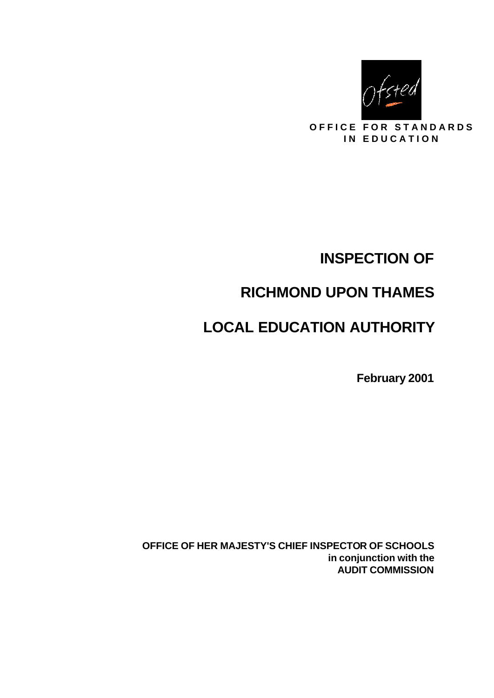

**OFFICE FOR STANDARDS IN EDUCATION** 

# **INSPECTION OF**

# **RICHMOND UPON THAMES**

# **LOCAL EDUCATION AUTHORITY**

**February 2001**

**OFFICE OF HER MAJESTY'S CHIEF INSPECTOR OF SCHOOLS in conjunction with the AUDIT COMMISSION**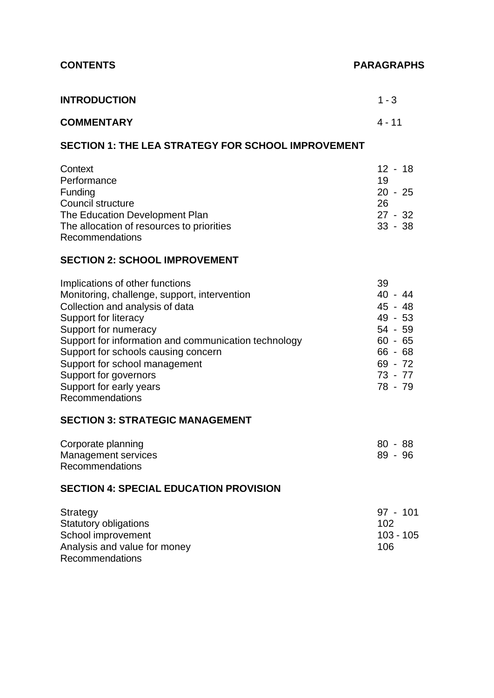# **CONTENTS PARAGRAPHS**

| <b>INTRODUCTION</b> | $1 - 3$  |
|---------------------|----------|
| <b>COMMENTARY</b>   | $4 - 11$ |

#### **SECTION 1: THE LEA STRATEGY FOR SCHOOL IMPROVEMENT**

| Context                                   | 12 - 18   |
|-------------------------------------------|-----------|
| Performance                               | 19        |
| <b>Funding</b>                            | $20 - 25$ |
| Council structure                         | 26        |
| The Education Development Plan            | $27 - 32$ |
| The allocation of resources to priorities | $33 - 38$ |
| Recommendations                           |           |

#### **SECTION 2: SCHOOL IMPROVEMENT**

| Implications of other functions                      | 39        |
|------------------------------------------------------|-----------|
| Monitoring, challenge, support, intervention         | $40 - 44$ |
| Collection and analysis of data                      | 45 - 48   |
| Support for literacy                                 | $49 - 53$ |
| Support for numeracy                                 | $54 - 59$ |
| Support for information and communication technology | $60 - 65$ |
| Support for schools causing concern                  | $66 - 68$ |
| Support for school management                        | $69 - 72$ |
| Support for governors                                | $73 - 77$ |
| Support for early years                              | 78 - 79   |
| Recommendations                                      |           |

#### **SECTION 3: STRATEGIC MANAGEMENT**

| Corporate planning     | 80 - 88 |
|------------------------|---------|
| Management services    | 89 - 96 |
| <b>Recommendations</b> |         |

## **SECTION 4: SPECIAL EDUCATION PROVISION**

| Strategy                     | 97 - 101  |
|------------------------------|-----------|
| <b>Statutory obligations</b> | 102       |
| School improvement           | 103 - 105 |
| Analysis and value for money | 106       |
| Recommendations              |           |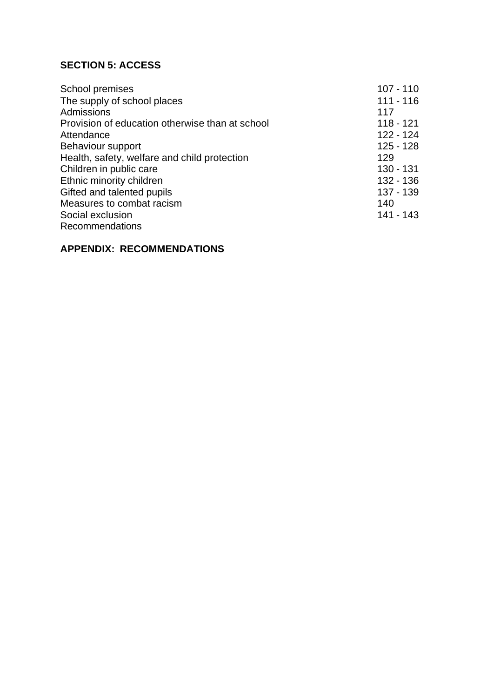## **SECTION 5: ACCESS**

| School premises                                 | $107 - 110$ |
|-------------------------------------------------|-------------|
| The supply of school places                     | $111 - 116$ |
| Admissions                                      | 117         |
| Provision of education otherwise than at school | $118 - 121$ |
| Attendance                                      | 122 - 124   |
| Behaviour support                               | $125 - 128$ |
| Health, safety, welfare and child protection    | 129         |
| Children in public care                         | $130 - 131$ |
| Ethnic minority children                        | 132 - 136   |
| Gifted and talented pupils                      | 137 - 139   |
| Measures to combat racism                       | 140         |
| Social exclusion                                | 141 - 143   |
| <b>Recommendations</b>                          |             |

#### **APPENDIX: RECOMMENDATIONS**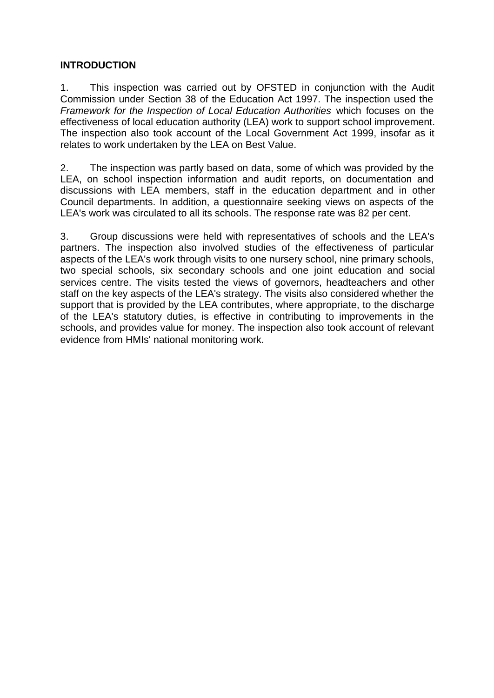#### **INTRODUCTION**

1. This inspection was carried out by OFSTED in conjunction with the Audit Commission under Section 38 of the Education Act 1997. The inspection used the *Framework for the Inspection of Local Education Authorities* which focuses on the effectiveness of local education authority (LEA) work to support school improvement. The inspection also took account of the Local Government Act 1999, insofar as it relates to work undertaken by the LEA on Best Value.

2. The inspection was partly based on data, some of which was provided by the LEA, on school inspection information and audit reports, on documentation and discussions with LEA members, staff in the education department and in other Council departments. In addition, a questionnaire seeking views on aspects of the LEA's work was circulated to all its schools. The response rate was 82 per cent.

3. Group discussions were held with representatives of schools and the LEA's partners. The inspection also involved studies of the effectiveness of particular aspects of the LEA's work through visits to one nursery school, nine primary schools, two special schools, six secondary schools and one joint education and social services centre. The visits tested the views of governors, headteachers and other staff on the key aspects of the LEA's strategy. The visits also considered whether the support that is provided by the LEA contributes, where appropriate, to the discharge of the LEA's statutory duties, is effective in contributing to improvements in the schools, and provides value for money. The inspection also took account of relevant evidence from HMIs' national monitoring work.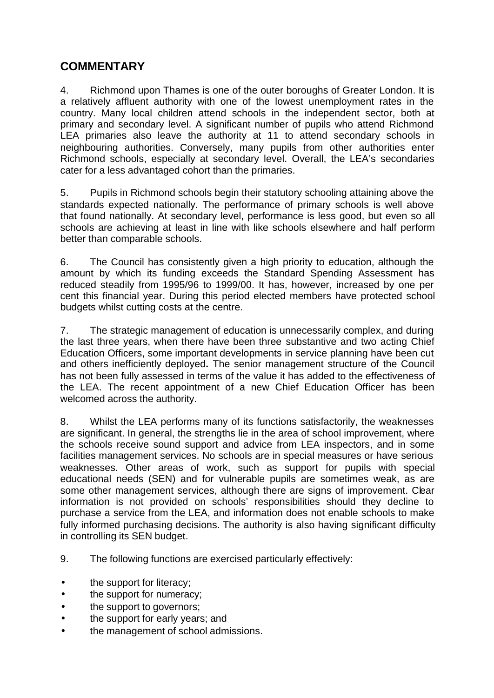# **COMMENTARY**

4. Richmond upon Thames is one of the outer boroughs of Greater London. It is a relatively affluent authority with one of the lowest unemployment rates in the country. Many local children attend schools in the independent sector, both at primary and secondary level. A significant number of pupils who attend Richmond LEA primaries also leave the authority at 11 to attend secondary schools in neighbouring authorities. Conversely, many pupils from other authorities enter Richmond schools, especially at secondary level. Overall, the LEA's secondaries cater for a less advantaged cohort than the primaries.

5. Pupils in Richmond schools begin their statutory schooling attaining above the standards expected nationally. The performance of primary schools is well above that found nationally. At secondary level, performance is less good, but even so all schools are achieving at least in line with like schools elsewhere and half perform better than comparable schools.

6. The Council has consistently given a high priority to education, although the amount by which its funding exceeds the Standard Spending Assessment has reduced steadily from 1995/96 to 1999/00. It has, however, increased by one per cent this financial year. During this period elected members have protected school budgets whilst cutting costs at the centre.

7. The strategic management of education is unnecessarily complex, and during the last three years, when there have been three substantive and two acting Chief Education Officers, some important developments in service planning have been cut and others inefficiently deployed**.** The senior management structure of the Council has not been fully assessed in terms of the value it has added to the effectiveness of the LEA. The recent appointment of a new Chief Education Officer has been welcomed across the authority.

8. Whilst the LEA performs many of its functions satisfactorily, the weaknesses are significant. In general, the strengths lie in the area of school improvement, where the schools receive sound support and advice from LEA inspectors, and in some facilities management services. No schools are in special measures or have serious weaknesses. Other areas of work, such as support for pupils with special educational needs (SEN) and for vulnerable pupils are sometimes weak, as are some other management services, although there are signs of improvement. Clear information is not provided on schools' responsibilities should they decline to purchase a service from the LEA, and information does not enable schools to make fully informed purchasing decisions. The authority is also having significant difficulty in controlling its SEN budget.

- 9. The following functions are exercised particularly effectively:
- the support for literacy;
- the support for numeracy;
- the support to governors;
- the support for early years; and
- the management of school admissions.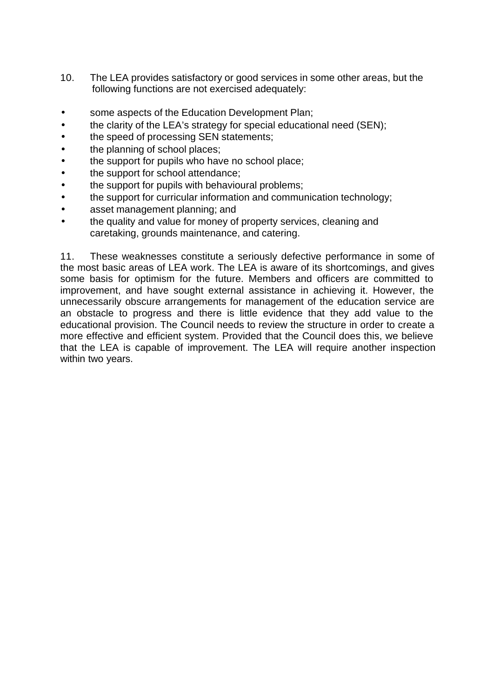- 10. The LEA provides satisfactory or good services in some other areas, but the following functions are not exercised adequately:
- some aspects of the Education Development Plan;
- the clarity of the LEA's strategy for special educational need (SEN);
- the speed of processing SEN statements;
- the planning of school places;
- the support for pupils who have no school place;
- the support for school attendance;
- the support for pupils with behavioural problems;
- the support for curricular information and communication technology;
- asset management planning; and
- the quality and value for money of property services, cleaning and caretaking, grounds maintenance, and catering.

11. These weaknesses constitute a seriously defective performance in some of the most basic areas of LEA work. The LEA is aware of its shortcomings, and gives some basis for optimism for the future. Members and officers are committed to improvement, and have sought external assistance in achieving it. However, the unnecessarily obscure arrangements for management of the education service are an obstacle to progress and there is little evidence that they add value to the educational provision. The Council needs to review the structure in order to create a more effective and efficient system. Provided that the Council does this, we believe that the LEA is capable of improvement. The LEA will require another inspection within two years.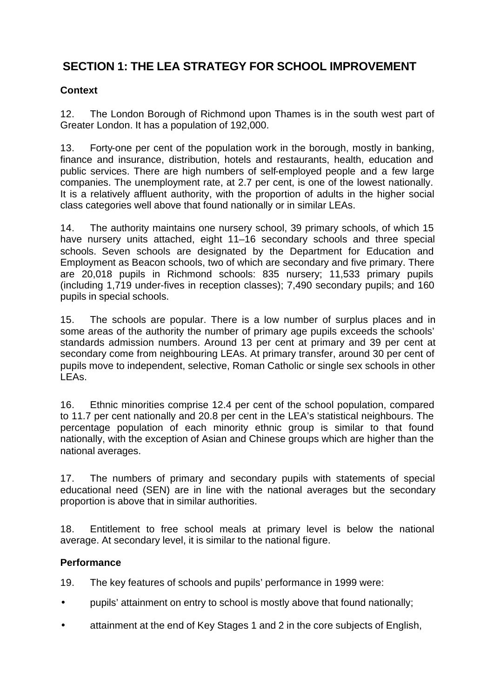# **SECTION 1: THE LEA STRATEGY FOR SCHOOL IMPROVEMENT**

#### **Context**

12. The London Borough of Richmond upon Thames is in the south west part of Greater London. It has a population of 192,000.

13. Forty-one per cent of the population work in the borough, mostly in banking, finance and insurance, distribution, hotels and restaurants, health, education and public services. There are high numbers of self-employed people and a few large companies. The unemployment rate, at 2.7 per cent, is one of the lowest nationally. It is a relatively affluent authority, with the proportion of adults in the higher social class categories well above that found nationally or in similar LEAs.

14. The authority maintains one nursery school, 39 primary schools, of which 15 have nursery units attached, eight 11–16 secondary schools and three special schools. Seven schools are designated by the Department for Education and Employment as Beacon schools, two of which are secondary and five primary. There are 20,018 pupils in Richmond schools: 835 nursery; 11,533 primary pupils (including 1,719 under-fives in reception classes); 7,490 secondary pupils; and 160 pupils in special schools.

15. The schools are popular. There is a low number of surplus places and in some areas of the authority the number of primary age pupils exceeds the schools' standards admission numbers. Around 13 per cent at primary and 39 per cent at secondary come from neighbouring LEAs. At primary transfer, around 30 per cent of pupils move to independent, selective, Roman Catholic or single sex schools in other LEAs.

16. Ethnic minorities comprise 12.4 per cent of the school population, compared to 11.7 per cent nationally and 20.8 per cent in the LEA's statistical neighbours. The percentage population of each minority ethnic group is similar to that found nationally, with the exception of Asian and Chinese groups which are higher than the national averages.

17. The numbers of primary and secondary pupils with statements of special educational need (SEN) are in line with the national averages but the secondary proportion is above that in similar authorities.

18. Entitlement to free school meals at primary level is below the national average. At secondary level, it is similar to the national figure.

### **Performance**

19. The key features of schools and pupils' performance in 1999 were:

- pupils' attainment on entry to school is mostly above that found nationally;
- attainment at the end of Key Stages 1 and 2 in the core subjects of English,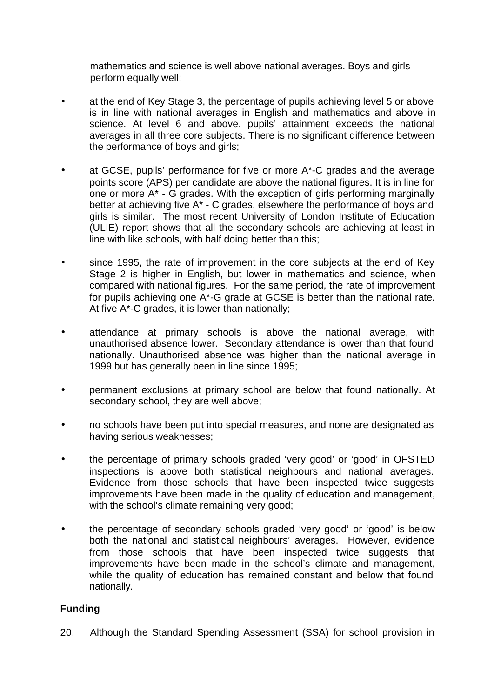mathematics and science is well above national averages. Boys and girls perform equally well;

- at the end of Key Stage 3, the percentage of pupils achieving level 5 or above is in line with national averages in English and mathematics and above in science. At level 6 and above, pupils' attainment exceeds the national averages in all three core subjects. There is no significant difference between the performance of boys and girls;
- at GCSE, pupils' performance for five or more  $A^*$ -C grades and the average points score (APS) per candidate are above the national figures. It is in line for one or more A\* - G grades. With the exception of girls performing marginally better at achieving five A\* - C grades, elsewhere the performance of boys and girls is similar. The most recent University of London Institute of Education (ULIE) report shows that all the secondary schools are achieving at least in line with like schools, with half doing better than this;
- since 1995, the rate of improvement in the core subjects at the end of Key Stage 2 is higher in English, but lower in mathematics and science, when compared with national figures. For the same period, the rate of improvement for pupils achieving one A\*-G grade at GCSE is better than the national rate. At five A\*-C grades, it is lower than nationally;
- attendance at primary schools is above the national average, with unauthorised absence lower. Secondary attendance is lower than that found nationally. Unauthorised absence was higher than the national average in 1999 but has generally been in line since 1995;
- permanent exclusions at primary school are below that found nationally. At secondary school, they are well above;
- no schools have been put into special measures, and none are designated as having serious weaknesses;
- the percentage of primary schools graded 'very good' or 'good' in OFSTED inspections is above both statistical neighbours and national averages. Evidence from those schools that have been inspected twice suggests improvements have been made in the quality of education and management, with the school's climate remaining very good;
- the percentage of secondary schools graded 'very good' or 'good' is below both the national and statistical neighbours' averages. However, evidence from those schools that have been inspected twice suggests that improvements have been made in the school's climate and management, while the quality of education has remained constant and below that found nationally.

#### **Funding**

20. Although the Standard Spending Assessment (SSA) for school provision in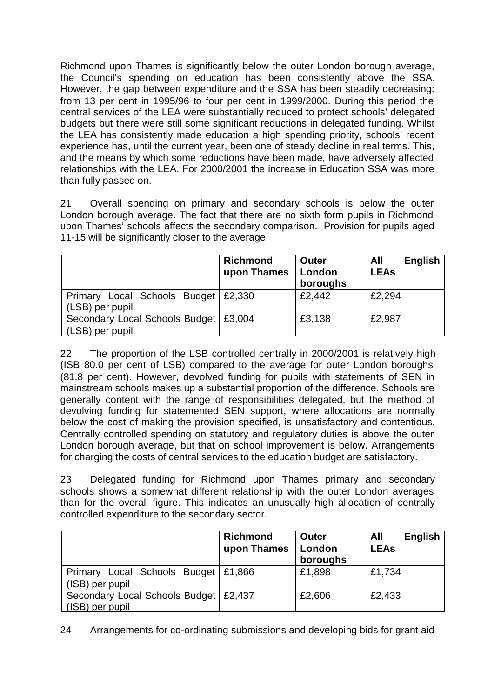Richmond upon Thames is significantly below the outer London borough average, the Council's spending on education has been consistently above the SSA. However, the gap between expenditure and the SSA has been steadily decreasing: from 13 per cent in 1995/96 to four per cent in 1999/2000. During this period the central services of the LEA were substantially reduced to protect schools' delegated budgets but there were still some significant reductions in delegated funding. Whilst the LEA has consistently made education a high spending priority, schools' recent experience has, until the current year, been one of steady decline in real terms. This, and the means by which some reductions have been made, have adversely affected relationships with the LEA. For 2000/2001 the increase in Education SSA was more than fully passed on.

21. Overall spending on primary and secondary schools is below the outer London borough average. The fact that there are no sixth form pupils in Richmond upon Thames' schools affects the secondary comparison. Provision for pupils aged 11-15 will be significantly closer to the average.

|                                                            | <b>Richmond</b><br>upon Thames | <b>Outer</b><br>London<br>boroughs | <b>English</b><br>All<br><b>LEAs</b> |
|------------------------------------------------------------|--------------------------------|------------------------------------|--------------------------------------|
| Primary Local Schools Budget   £2,330<br>(LSB) per pupil   |                                | £2,442                             | £2,294                               |
| Secondary Local Schools Budget   £3,004<br>(LSB) per pupil |                                | £3,138                             | £2,987                               |

22. The proportion of the LSB controlled centrally in 2000/2001 is relatively high (ISB 80.0 per cent of LSB) compared to the average for outer London boroughs (81.8 per cent). However, devolved funding for pupils with statements of SEN in mainstream schools makes up a substantial proportion of the difference. Schools are generally content with the range of responsibilities delegated, but the method of devolving funding for statemented SEN support, where allocations are normally below the cost of making the provision specified, is unsatisfactory and contentious. Centrally controlled spending on statutory and regulatory duties is above the outer London borough average, but that on school improvement is below. Arrangements for charging the costs of central services to the education budget are satisfactory.

23. Delegated funding for Richmond upon Thames primary and secondary schools shows a somewhat different relationship with the outer London averages than for the overall figure. This indicates an unusually high allocation of centrally controlled expenditure to the secondary sector.

|                                                            | <b>Richmond</b><br>upon Thames | Outer<br>London<br>boroughs | <b>English</b><br>All<br><b>LEAs</b> |
|------------------------------------------------------------|--------------------------------|-----------------------------|--------------------------------------|
| Primary Local Schools Budget   £1,866<br>(ISB) per pupil   |                                | £1,898                      | £1,734                               |
| Secondary Local Schools Budget   £2,437<br>(ISB) per pupil |                                | £2,606                      | £2,433                               |

24. Arrangements for co-ordinating submissions and developing bids for grant aid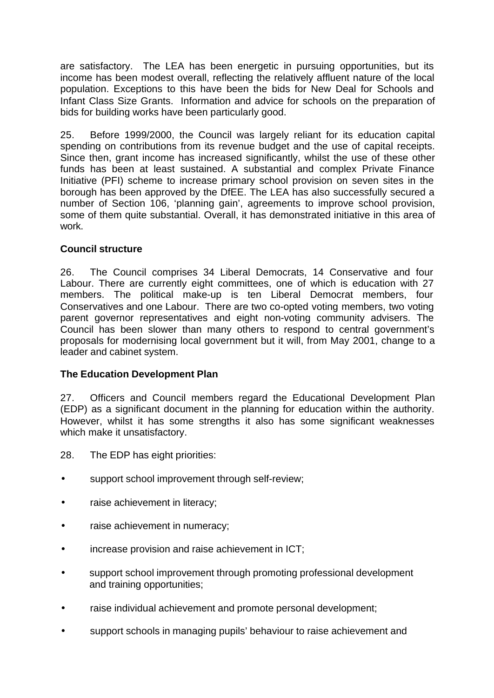are satisfactory. The LEA has been energetic in pursuing opportunities, but its income has been modest overall, reflecting the relatively affluent nature of the local population. Exceptions to this have been the bids for New Deal for Schools and Infant Class Size Grants. Information and advice for schools on the preparation of bids for building works have been particularly good.

25. Before 1999/2000, the Council was largely reliant for its education capital spending on contributions from its revenue budget and the use of capital receipts. Since then, grant income has increased significantly, whilst the use of these other funds has been at least sustained. A substantial and complex Private Finance Initiative (PFI) scheme to increase primary school provision on seven sites in the borough has been approved by the DfEE. The LEA has also successfully secured a number of Section 106, 'planning gain', agreements to improve school provision, some of them quite substantial. Overall, it has demonstrated initiative in this area of work.

#### **Council structure**

26. The Council comprises 34 Liberal Democrats, 14 Conservative and four Labour. There are currently eight committees, one of which is education with 27 members. The political make-up is ten Liberal Democrat members, four Conservatives and one Labour. There are two co-opted voting members, two voting parent governor representatives and eight non-voting community advisers. The Council has been slower than many others to respond to central government's proposals for modernising local government but it will, from May 2001, change to a leader and cabinet system.

#### **The Education Development Plan**

27. Officers and Council members regard the Educational Development Plan (EDP) as a significant document in the planning for education within the authority. However, whilst it has some strengths it also has some significant weaknesses which make it unsatisfactory.

- 28. The EDP has eight priorities:
- support school improvement through self-review;
- raise achievement in literacy;
- raise achievement in numeracy;
- increase provision and raise achievement in ICT;
- support school improvement through promoting professional development and training opportunities;
- raise individual achievement and promote personal development;
- support schools in managing pupils' behaviour to raise achievement and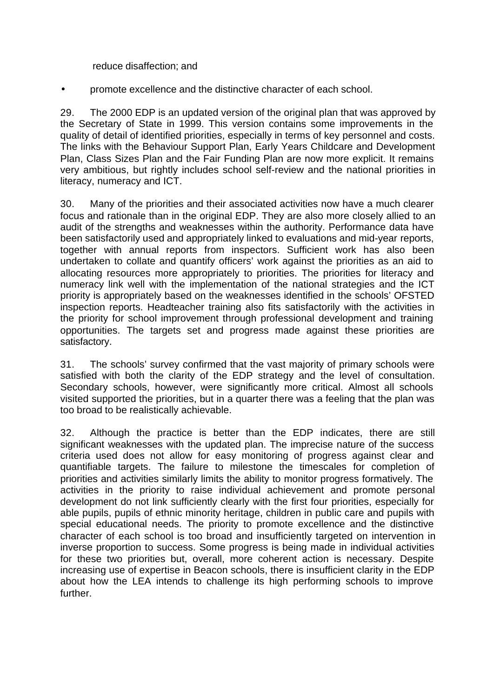reduce disaffection; and

• promote excellence and the distinctive character of each school.

29. The 2000 EDP is an updated version of the original plan that was approved by the Secretary of State in 1999. This version contains some improvements in the quality of detail of identified priorities, especially in terms of key personnel and costs. The links with the Behaviour Support Plan, Early Years Childcare and Development Plan, Class Sizes Plan and the Fair Funding Plan are now more explicit. It remains very ambitious, but rightly includes school self-review and the national priorities in literacy, numeracy and ICT.

30. Many of the priorities and their associated activities now have a much clearer focus and rationale than in the original EDP. They are also more closely allied to an audit of the strengths and weaknesses within the authority. Performance data have been satisfactorily used and appropriately linked to evaluations and mid-year reports, together with annual reports from inspectors. Sufficient work has also been undertaken to collate and quantify officers' work against the priorities as an aid to allocating resources more appropriately to priorities. The priorities for literacy and numeracy link well with the implementation of the national strategies and the ICT priority is appropriately based on the weaknesses identified in the schools' OFSTED inspection reports. Headteacher training also fits satisfactorily with the activities in the priority for school improvement through professional development and training opportunities. The targets set and progress made against these priorities are satisfactory.

31. The schools' survey confirmed that the vast majority of primary schools were satisfied with both the clarity of the EDP strategy and the level of consultation. Secondary schools, however, were significantly more critical. Almost all schools visited supported the priorities, but in a quarter there was a feeling that the plan was too broad to be realistically achievable.

32. Although the practice is better than the EDP indicates, there are still significant weaknesses with the updated plan. The imprecise nature of the success criteria used does not allow for easy monitoring of progress against clear and quantifiable targets. The failure to milestone the timescales for completion of priorities and activities similarly limits the ability to monitor progress formatively. The activities in the priority to raise individual achievement and promote personal development do not link sufficiently clearly with the first four priorities, especially for able pupils, pupils of ethnic minority heritage, children in public care and pupils with special educational needs. The priority to promote excellence and the distinctive character of each school is too broad and insufficiently targeted on intervention in inverse proportion to success. Some progress is being made in individual activities for these two priorities but, overall, more coherent action is necessary. Despite increasing use of expertise in Beacon schools, there is insufficient clarity in the EDP about how the LEA intends to challenge its high performing schools to improve further.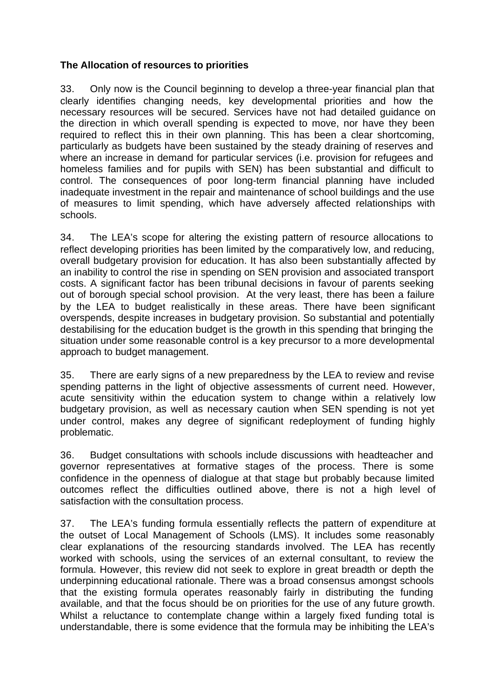#### **The Allocation of resources to priorities**

33. Only now is the Council beginning to develop a three-year financial plan that clearly identifies changing needs, key developmental priorities and how the necessary resources will be secured. Services have not had detailed guidance on the direction in which overall spending is expected to move, nor have they been required to reflect this in their own planning. This has been a clear shortcoming, particularly as budgets have been sustained by the steady draining of reserves and where an increase in demand for particular services (i.e. provision for refugees and homeless families and for pupils with SEN) has been substantial and difficult to control. The consequences of poor long-term financial planning have included inadequate investment in the repair and maintenance of school buildings and the use of measures to limit spending, which have adversely affected relationships with schools.

34. The LEA's scope for altering the existing pattern of resource allocations to reflect developing priorities has been limited by the comparatively low, and reducing, overall budgetary provision for education. It has also been substantially affected by an inability to control the rise in spending on SEN provision and associated transport costs. A significant factor has been tribunal decisions in favour of parents seeking out of borough special school provision. At the very least, there has been a failure by the LEA to budget realistically in these areas. There have been significant overspends, despite increases in budgetary provision. So substantial and potentially destabilising for the education budget is the growth in this spending that bringing the situation under some reasonable control is a key precursor to a more developmental approach to budget management.

35. There are early signs of a new preparedness by the LEA to review and revise spending patterns in the light of objective assessments of current need. However, acute sensitivity within the education system to change within a relatively low budgetary provision, as well as necessary caution when SEN spending is not yet under control, makes any degree of significant redeployment of funding highly problematic.

36. Budget consultations with schools include discussions with headteacher and governor representatives at formative stages of the process. There is some confidence in the openness of dialogue at that stage but probably because limited outcomes reflect the difficulties outlined above, there is not a high level of satisfaction with the consultation process.

37. The LEA's funding formula essentially reflects the pattern of expenditure at the outset of Local Management of Schools (LMS). It includes some reasonably clear explanations of the resourcing standards involved. The LEA has recently worked with schools, using the services of an external consultant, to review the formula. However, this review did not seek to explore in great breadth or depth the underpinning educational rationale. There was a broad consensus amongst schools that the existing formula operates reasonably fairly in distributing the funding available, and that the focus should be on priorities for the use of any future growth. Whilst a reluctance to contemplate change within a largely fixed funding total is understandable, there is some evidence that the formula may be inhibiting the LEA's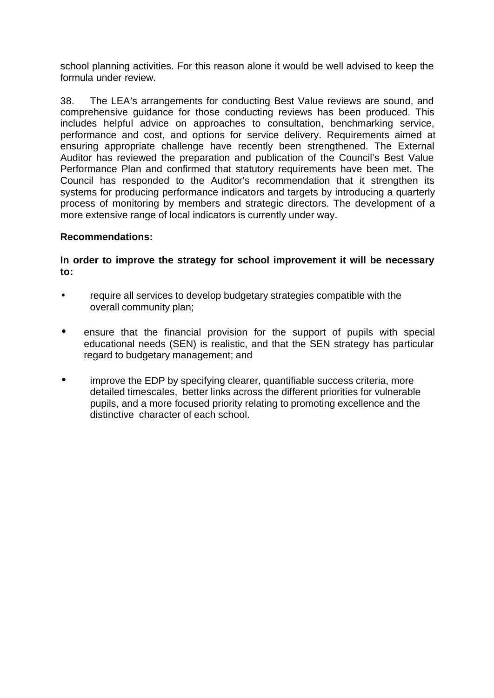school planning activities. For this reason alone it would be well advised to keep the formula under review.

38. The LEA's arrangements for conducting Best Value reviews are sound, and comprehensive guidance for those conducting reviews has been produced. This includes helpful advice on approaches to consultation, benchmarking service, performance and cost, and options for service delivery. Requirements aimed at ensuring appropriate challenge have recently been strengthened. The External Auditor has reviewed the preparation and publication of the Council's Best Value Performance Plan and confirmed that statutory requirements have been met. The Council has responded to the Auditor's recommendation that it strengthen its systems for producing performance indicators and targets by introducing a quarterly process of monitoring by members and strategic directors. The development of a more extensive range of local indicators is currently under way.

#### **Recommendations:**

#### **In order to improve the strategy for school improvement it will be necessary to:**

- require all services to develop budgetary strategies compatible with the overall community plan;
- ensure that the financial provision for the support of pupils with special educational needs (SEN) is realistic, and that the SEN strategy has particular regard to budgetary management; and
- improve the EDP by specifying clearer, quantifiable success criteria, more detailed timescales, better links across the different priorities for vulnerable pupils, and a more focused priority relating to promoting excellence and the distinctive character of each school.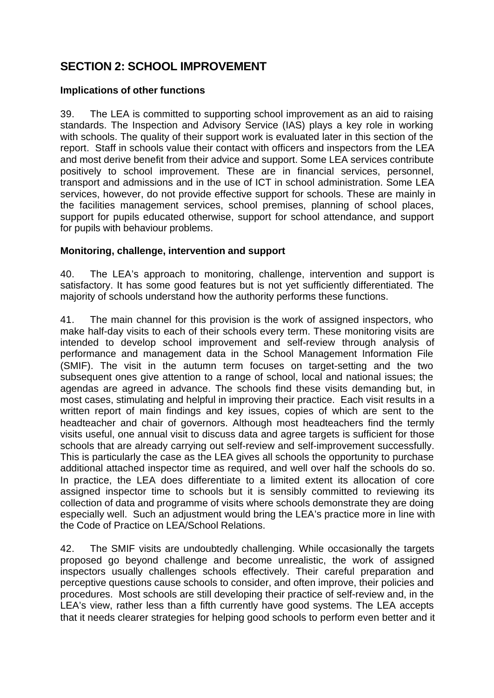# **SECTION 2: SCHOOL IMPROVEMENT**

#### **Implications of other functions**

39. The LEA is committed to supporting school improvement as an aid to raising standards. The Inspection and Advisory Service (IAS) plays a key role in working with schools. The quality of their support work is evaluated later in this section of the report. Staff in schools value their contact with officers and inspectors from the LEA and most derive benefit from their advice and support. Some LEA services contribute positively to school improvement. These are in financial services, personnel, transport and admissions and in the use of ICT in school administration. Some LEA services, however, do not provide effective support for schools. These are mainly in the facilities management services, school premises, planning of school places, support for pupils educated otherwise, support for school attendance, and support for pupils with behaviour problems.

#### **Monitoring, challenge, intervention and support**

40. The LEA's approach to monitoring, challenge, intervention and support is satisfactory. It has some good features but is not yet sufficiently differentiated. The majority of schools understand how the authority performs these functions.

41. The main channel for this provision is the work of assigned inspectors, who make half-day visits to each of their schools every term. These monitoring visits are intended to develop school improvement and self-review through analysis of performance and management data in the School Management Information File (SMIF). The visit in the autumn term focuses on target-setting and the two subsequent ones give attention to a range of school, local and national issues; the agendas are agreed in advance. The schools find these visits demanding but, in most cases, stimulating and helpful in improving their practice. Each visit results in a written report of main findings and key issues, copies of which are sent to the headteacher and chair of governors. Although most headteachers find the termly visits useful, one annual visit to discuss data and agree targets is sufficient for those schools that are already carrying out self-review and self-improvement successfully. This is particularly the case as the LEA gives all schools the opportunity to purchase additional attached inspector time as required, and well over half the schools do so. In practice, the LEA does differentiate to a limited extent its allocation of core assigned inspector time to schools but it is sensibly committed to reviewing its collection of data and programme of visits where schools demonstrate they are doing especially well. Such an adjustment would bring the LEA's practice more in line with the Code of Practice on LEA/School Relations.

42. The SMIF visits are undoubtedly challenging. While occasionally the targets proposed go beyond challenge and become unrealistic, the work of assigned inspectors usually challenges schools effectively. Their careful preparation and perceptive questions cause schools to consider, and often improve, their policies and procedures. Most schools are still developing their practice of self-review and, in the LEA's view, rather less than a fifth currently have good systems. The LEA accepts that it needs clearer strategies for helping good schools to perform even better and it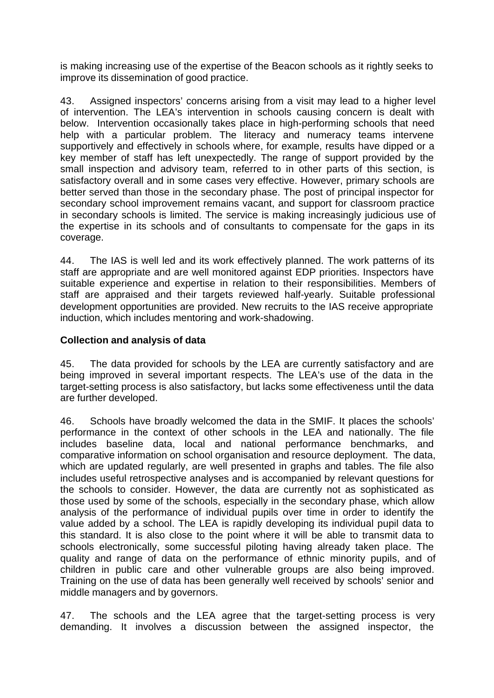is making increasing use of the expertise of the Beacon schools as it rightly seeks to improve its dissemination of good practice.

43. Assigned inspectors' concerns arising from a visit may lead to a higher level of intervention. The LEA's intervention in schools causing concern is dealt with below. Intervention occasionally takes place in high-performing schools that need help with a particular problem. The literacy and numeracy teams intervene supportively and effectively in schools where, for example, results have dipped or a key member of staff has left unexpectedly. The range of support provided by the small inspection and advisory team, referred to in other parts of this section, is satisfactory overall and in some cases very effective. However, primary schools are better served than those in the secondary phase. The post of principal inspector for secondary school improvement remains vacant, and support for classroom practice in secondary schools is limited. The service is making increasingly judicious use of the expertise in its schools and of consultants to compensate for the gaps in its coverage.

44. The IAS is well led and its work effectively planned. The work patterns of its staff are appropriate and are well monitored against EDP priorities. Inspectors have suitable experience and expertise in relation to their responsibilities. Members of staff are appraised and their targets reviewed half-yearly. Suitable professional development opportunities are provided. New recruits to the IAS receive appropriate induction, which includes mentoring and work-shadowing.

#### **Collection and analysis of data**

45. The data provided for schools by the LEA are currently satisfactory and are being improved in several important respects. The LEA's use of the data in the target-setting process is also satisfactory, but lacks some effectiveness until the data are further developed.

46. Schools have broadly welcomed the data in the SMIF. It places the schools' performance in the context of other schools in the LEA and nationally. The file includes baseline data, local and national performance benchmarks, and comparative information on school organisation and resource deployment. The data, which are updated regularly, are well presented in graphs and tables. The file also includes useful retrospective analyses and is accompanied by relevant questions for the schools to consider. However, the data are currently not as sophisticated as those used by some of the schools, especially in the secondary phase, which allow analysis of the performance of individual pupils over time in order to identify the value added by a school. The LEA is rapidly developing its individual pupil data to this standard. It is also close to the point where it will be able to transmit data to schools electronically, some successful piloting having already taken place. The quality and range of data on the performance of ethnic minority pupils, and of children in public care and other vulnerable groups are also being improved. Training on the use of data has been generally well received by schools' senior and middle managers and by governors.

47. The schools and the LEA agree that the target-setting process is very demanding. It involves a discussion between the assigned inspector, the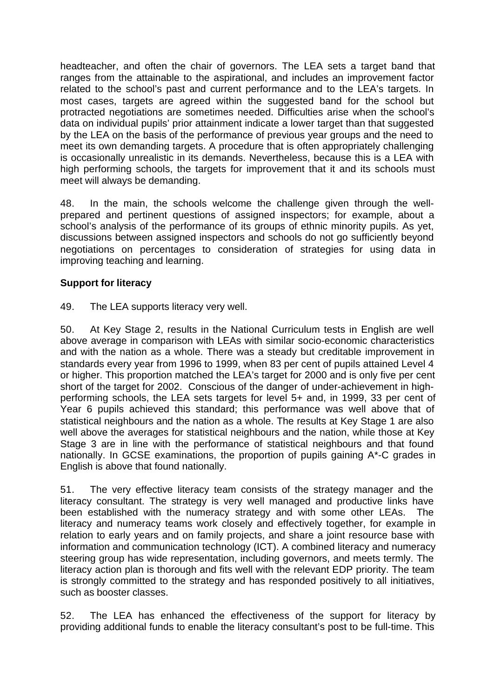headteacher, and often the chair of governors. The LEA sets a target band that ranges from the attainable to the aspirational, and includes an improvement factor related to the school's past and current performance and to the LEA's targets. In most cases, targets are agreed within the suggested band for the school but protracted negotiations are sometimes needed. Difficulties arise when the school's data on individual pupils' prior attainment indicate a lower target than that suggested by the LEA on the basis of the performance of previous year groups and the need to meet its own demanding targets. A procedure that is often appropriately challenging is occasionally unrealistic in its demands. Nevertheless, because this is a LEA with high performing schools, the targets for improvement that it and its schools must meet will always be demanding.

48. In the main, the schools welcome the challenge given through the wellprepared and pertinent questions of assigned inspectors; for example, about a school's analysis of the performance of its groups of ethnic minority pupils. As yet, discussions between assigned inspectors and schools do not go sufficiently beyond negotiations on percentages to consideration of strategies for using data in improving teaching and learning.

#### **Support for literacy**

49. The LEA supports literacy very well.

50. At Key Stage 2, results in the National Curriculum tests in English are well above average in comparison with LEAs with similar socio-economic characteristics and with the nation as a whole. There was a steady but creditable improvement in standards every year from 1996 to 1999, when 83 per cent of pupils attained Level 4 or higher. This proportion matched the LEA's target for 2000 and is only five per cent short of the target for 2002. Conscious of the danger of under-achievement in highperforming schools, the LEA sets targets for level 5+ and, in 1999, 33 per cent of Year 6 pupils achieved this standard; this performance was well above that of statistical neighbours and the nation as a whole. The results at Key Stage 1 are also well above the averages for statistical neighbours and the nation, while those at Key Stage 3 are in line with the performance of statistical neighbours and that found nationally. In GCSE examinations, the proportion of pupils gaining A\*-C grades in English is above that found nationally.

51. The very effective literacy team consists of the strategy manager and the literacy consultant. The strategy is very well managed and productive links have been established with the numeracy strategy and with some other LEAs. The literacy and numeracy teams work closely and effectively together, for example in relation to early years and on family projects, and share a joint resource base with information and communication technology (ICT). A combined literacy and numeracy steering group has wide representation, including governors, and meets termly. The literacy action plan is thorough and fits well with the relevant EDP priority. The team is strongly committed to the strategy and has responded positively to all initiatives, such as booster classes.

52. The LEA has enhanced the effectiveness of the support for literacy by providing additional funds to enable the literacy consultant's post to be full-time. This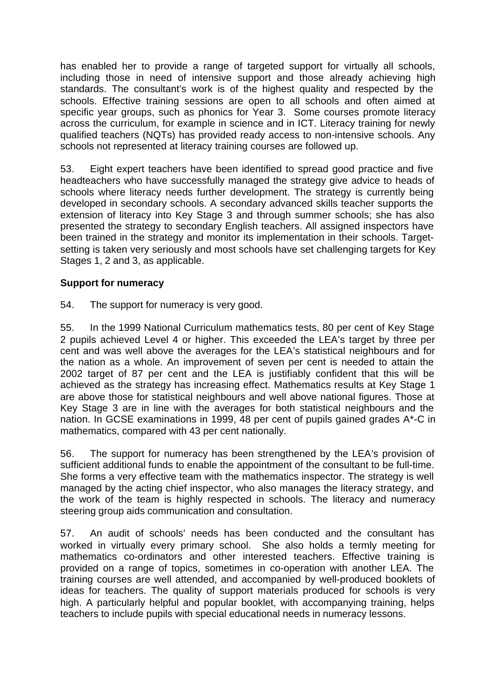has enabled her to provide a range of targeted support for virtually all schools, including those in need of intensive support and those already achieving high standards. The consultant's work is of the highest quality and respected by the schools. Effective training sessions are open to all schools and often aimed at specific year groups, such as phonics for Year 3. Some courses promote literacy across the curriculum, for example in science and in ICT. Literacy training for newly qualified teachers (NQTs) has provided ready access to non-intensive schools. Any schools not represented at literacy training courses are followed up.

53. Eight expert teachers have been identified to spread good practice and five headteachers who have successfully managed the strategy give advice to heads of schools where literacy needs further development. The strategy is currently being developed in secondary schools. A secondary advanced skills teacher supports the extension of literacy into Key Stage 3 and through summer schools; she has also presented the strategy to secondary English teachers. All assigned inspectors have been trained in the strategy and monitor its implementation in their schools. Targetsetting is taken very seriously and most schools have set challenging targets for Key Stages 1, 2 and 3, as applicable.

#### **Support for numeracy**

54. The support for numeracy is very good.

55. In the 1999 National Curriculum mathematics tests, 80 per cent of Key Stage 2 pupils achieved Level 4 or higher. This exceeded the LEA's target by three per cent and was well above the averages for the LEA's statistical neighbours and for the nation as a whole. An improvement of seven per cent is needed to attain the 2002 target of 87 per cent and the LEA is justifiably confident that this will be achieved as the strategy has increasing effect. Mathematics results at Key Stage 1 are above those for statistical neighbours and well above national figures. Those at Key Stage 3 are in line with the averages for both statistical neighbours and the nation. In GCSE examinations in 1999, 48 per cent of pupils gained grades A\*-C in mathematics, compared with 43 per cent nationally.

56. The support for numeracy has been strengthened by the LEA's provision of sufficient additional funds to enable the appointment of the consultant to be full-time. She forms a very effective team with the mathematics inspector. The strategy is well managed by the acting chief inspector, who also manages the literacy strategy, and the work of the team is highly respected in schools. The literacy and numeracy steering group aids communication and consultation.

57. An audit of schools' needs has been conducted and the consultant has worked in virtually every primary school. She also holds a termly meeting for mathematics co-ordinators and other interested teachers. Effective training is provided on a range of topics, sometimes in co-operation with another LEA. The training courses are well attended, and accompanied by well-produced booklets of ideas for teachers. The quality of support materials produced for schools is very high. A particularly helpful and popular booklet, with accompanying training, helps teachers to include pupils with special educational needs in numeracy lessons.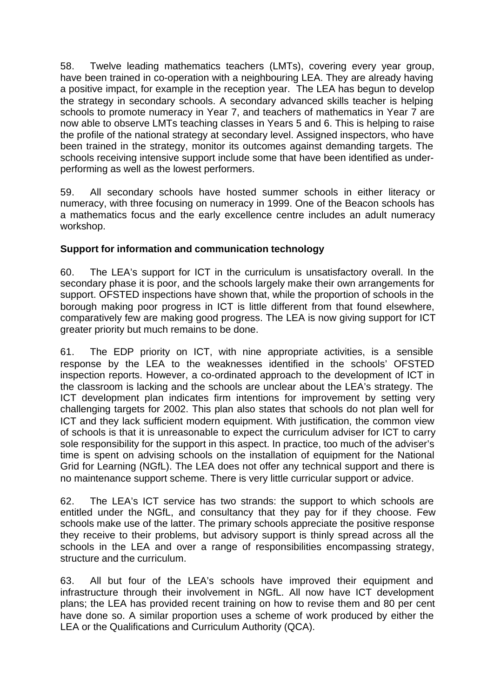58. Twelve leading mathematics teachers (LMTs), covering every year group, have been trained in co-operation with a neighbouring LEA. They are already having a positive impact, for example in the reception year. The LEA has begun to develop the strategy in secondary schools. A secondary advanced skills teacher is helping schools to promote numeracy in Year 7, and teachers of mathematics in Year 7 are now able to observe LMTs teaching classes in Years 5 and 6. This is helping to raise the profile of the national strategy at secondary level. Assigned inspectors, who have been trained in the strategy, monitor its outcomes against demanding targets. The schools receiving intensive support include some that have been identified as underperforming as well as the lowest performers.

59. All secondary schools have hosted summer schools in either literacy or numeracy, with three focusing on numeracy in 1999. One of the Beacon schools has a mathematics focus and the early excellence centre includes an adult numeracy workshop.

#### **Support for information and communication technology**

60. The LEA's support for ICT in the curriculum is unsatisfactory overall. In the secondary phase it is poor, and the schools largely make their own arrangements for support. OFSTED inspections have shown that, while the proportion of schools in the borough making poor progress in ICT is little different from that found elsewhere, comparatively few are making good progress. The LEA is now giving support for ICT greater priority but much remains to be done.

61. The EDP priority on ICT, with nine appropriate activities, is a sensible response by the LEA to the weaknesses identified in the schools' OFSTED inspection reports. However, a co-ordinated approach to the development of ICT in the classroom is lacking and the schools are unclear about the LEA's strategy. The ICT development plan indicates firm intentions for improvement by setting very challenging targets for 2002. This plan also states that schools do not plan well for ICT and they lack sufficient modern equipment. With justification, the common view of schools is that it is unreasonable to expect the curriculum adviser for ICT to carry sole responsibility for the support in this aspect. In practice, too much of the adviser's time is spent on advising schools on the installation of equipment for the National Grid for Learning (NGfL). The LEA does not offer any technical support and there is no maintenance support scheme. There is very little curricular support or advice.

62. The LEA's ICT service has two strands: the support to which schools are entitled under the NGfL, and consultancy that they pay for if they choose. Few schools make use of the latter. The primary schools appreciate the positive response they receive to their problems, but advisory support is thinly spread across all the schools in the LEA and over a range of responsibilities encompassing strategy, structure and the curriculum.

63. All but four of the LEA's schools have improved their equipment and infrastructure through their involvement in NGfL. All now have ICT development plans; the LEA has provided recent training on how to revise them and 80 per cent have done so. A similar proportion uses a scheme of work produced by either the LEA or the Qualifications and Curriculum Authority (QCA).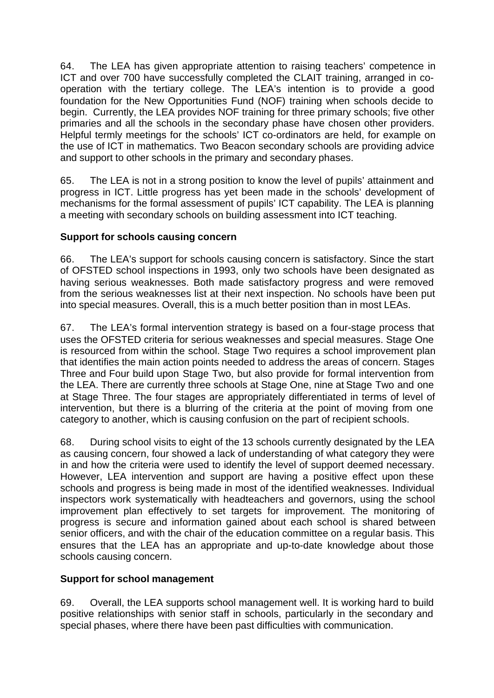64. The LEA has given appropriate attention to raising teachers' competence in ICT and over 700 have successfully completed the CLAIT training, arranged in cooperation with the tertiary college. The LEA's intention is to provide a good foundation for the New Opportunities Fund (NOF) training when schools decide to begin. Currently, the LEA provides NOF training for three primary schools; five other primaries and all the schools in the secondary phase have chosen other providers. Helpful termly meetings for the schools' ICT co-ordinators are held, for example on the use of ICT in mathematics. Two Beacon secondary schools are providing advice and support to other schools in the primary and secondary phases.

65. The LEA is not in a strong position to know the level of pupils' attainment and progress in ICT. Little progress has yet been made in the schools' development of mechanisms for the formal assessment of pupils' ICT capability. The LEA is planning a meeting with secondary schools on building assessment into ICT teaching.

#### **Support for schools causing concern**

66. The LEA's support for schools causing concern is satisfactory. Since the start of OFSTED school inspections in 1993, only two schools have been designated as having serious weaknesses. Both made satisfactory progress and were removed from the serious weaknesses list at their next inspection. No schools have been put into special measures. Overall, this is a much better position than in most LEAs.

67. The LEA's formal intervention strategy is based on a four-stage process that uses the OFSTED criteria for serious weaknesses and special measures. Stage One is resourced from within the school. Stage Two requires a school improvement plan that identifies the main action points needed to address the areas of concern. Stages Three and Four build upon Stage Two, but also provide for formal intervention from the LEA. There are currently three schools at Stage One, nine at Stage Two and one at Stage Three. The four stages are appropriately differentiated in terms of level of intervention, but there is a blurring of the criteria at the point of moving from one category to another, which is causing confusion on the part of recipient schools.

68. During school visits to eight of the 13 schools currently designated by the LEA as causing concern, four showed a lack of understanding of what category they were in and how the criteria were used to identify the level of support deemed necessary. However, LEA intervention and support are having a positive effect upon these schools and progress is being made in most of the identified weaknesses. Individual inspectors work systematically with headteachers and governors, using the school improvement plan effectively to set targets for improvement. The monitoring of progress is secure and information gained about each school is shared between senior officers, and with the chair of the education committee on a regular basis. This ensures that the LEA has an appropriate and up-to-date knowledge about those schools causing concern.

#### **Support for school management**

69. Overall, the LEA supports school management well. It is working hard to build positive relationships with senior staff in schools, particularly in the secondary and special phases, where there have been past difficulties with communication.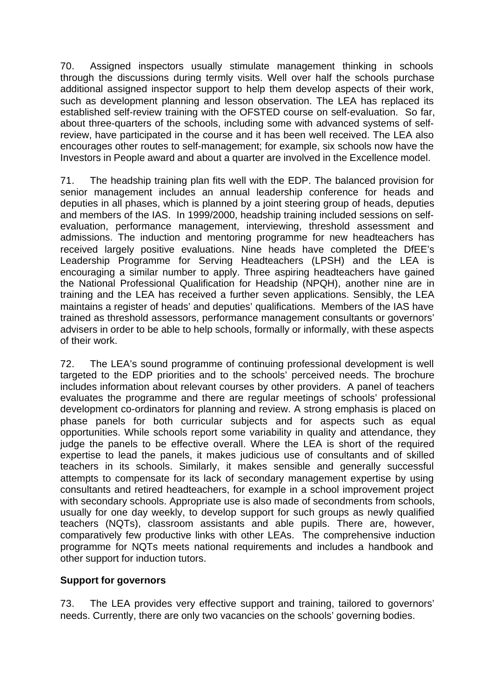70. Assigned inspectors usually stimulate management thinking in schools through the discussions during termly visits. Well over half the schools purchase additional assigned inspector support to help them develop aspects of their work, such as development planning and lesson observation. The LEA has replaced its established self-review training with the OFSTED course on self-evaluation. So far, about three-quarters of the schools, including some with advanced systems of selfreview, have participated in the course and it has been well received. The LEA also encourages other routes to self-management; for example, six schools now have the Investors in People award and about a quarter are involved in the Excellence model.

71. The headship training plan fits well with the EDP. The balanced provision for senior management includes an annual leadership conference for heads and deputies in all phases, which is planned by a joint steering group of heads, deputies and members of the IAS. In 1999/2000, headship training included sessions on selfevaluation, performance management, interviewing, threshold assessment and admissions. The induction and mentoring programme for new headteachers has received largely positive evaluations. Nine heads have completed the DfEE's Leadership Programme for Serving Headteachers (LPSH) and the LEA is encouraging a similar number to apply. Three aspiring headteachers have gained the National Professional Qualification for Headship (NPQH), another nine are in training and the LEA has received a further seven applications. Sensibly, the LEA maintains a register of heads' and deputies' qualifications. Members of the IAS have trained as threshold assessors, performance management consultants or governors' advisers in order to be able to help schools, formally or informally, with these aspects of their work.

72. The LEA's sound programme of continuing professional development is well targeted to the EDP priorities and to the schools' perceived needs. The brochure includes information about relevant courses by other providers. A panel of teachers evaluates the programme and there are regular meetings of schools' professional development co-ordinators for planning and review. A strong emphasis is placed on phase panels for both curricular subjects and for aspects such as equal opportunities. While schools report some variability in quality and attendance, they judge the panels to be effective overall. Where the LEA is short of the required expertise to lead the panels, it makes judicious use of consultants and of skilled teachers in its schools. Similarly, it makes sensible and generally successful attempts to compensate for its lack of secondary management expertise by using consultants and retired headteachers, for example in a school improvement project with secondary schools. Appropriate use is also made of secondments from schools, usually for one day weekly, to develop support for such groups as newly qualified teachers (NQTs), classroom assistants and able pupils. There are, however, comparatively few productive links with other LEAs. The comprehensive induction programme for NQTs meets national requirements and includes a handbook and other support for induction tutors.

#### **Support for governors**

73. The LEA provides very effective support and training, tailored to governors' needs. Currently, there are only two vacancies on the schools' governing bodies.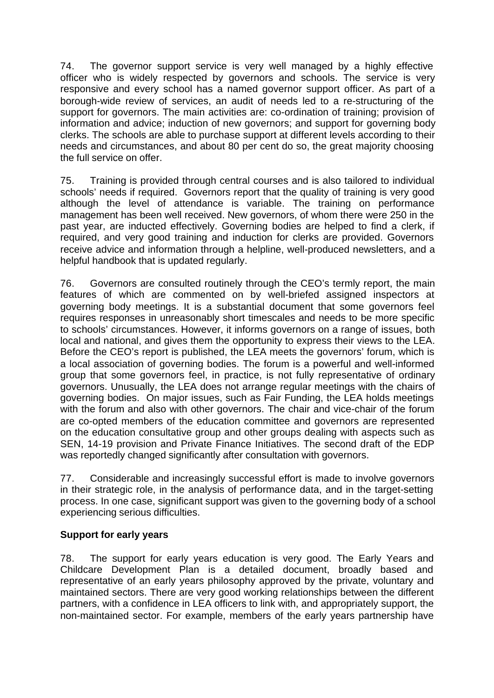74. The governor support service is very well managed by a highly effective officer who is widely respected by governors and schools. The service is very responsive and every school has a named governor support officer. As part of a borough-wide review of services, an audit of needs led to a re-structuring of the support for governors. The main activities are: co-ordination of training; provision of information and advice; induction of new governors; and support for governing body clerks. The schools are able to purchase support at different levels according to their needs and circumstances, and about 80 per cent do so, the great majority choosing the full service on offer.

75. Training is provided through central courses and is also tailored to individual schools' needs if required. Governors report that the quality of training is very good although the level of attendance is variable. The training on performance management has been well received. New governors, of whom there were 250 in the past year, are inducted effectively. Governing bodies are helped to find a clerk, if required, and very good training and induction for clerks are provided. Governors receive advice and information through a helpline, well-produced newsletters, and a helpful handbook that is updated regularly.

76. Governors are consulted routinely through the CEO's termly report, the main features of which are commented on by well-briefed assigned inspectors at governing body meetings. It is a substantial document that some governors feel requires responses in unreasonably short timescales and needs to be more specific to schools' circumstances. However, it informs governors on a range of issues, both local and national, and gives them the opportunity to express their views to the LEA. Before the CEO's report is published, the LEA meets the governors' forum, which is a local association of governing bodies. The forum is a powerful and well-informed group that some governors feel, in practice, is not fully representative of ordinary governors. Unusually, the LEA does not arrange regular meetings with the chairs of governing bodies. On major issues, such as Fair Funding, the LEA holds meetings with the forum and also with other governors. The chair and vice-chair of the forum are co-opted members of the education committee and governors are represented on the education consultative group and other groups dealing with aspects such as SEN, 14-19 provision and Private Finance Initiatives. The second draft of the EDP was reportedly changed significantly after consultation with governors.

77. Considerable and increasingly successful effort is made to involve governors in their strategic role, in the analysis of performance data, and in the target-setting process. In one case, significant support was given to the governing body of a school experiencing serious difficulties.

#### **Support for early years**

78. The support for early years education is very good. The Early Years and Childcare Development Plan is a detailed document, broadly based and representative of an early years philosophy approved by the private, voluntary and maintained sectors. There are very good working relationships between the different partners, with a confidence in LEA officers to link with, and appropriately support, the non-maintained sector. For example, members of the early years partnership have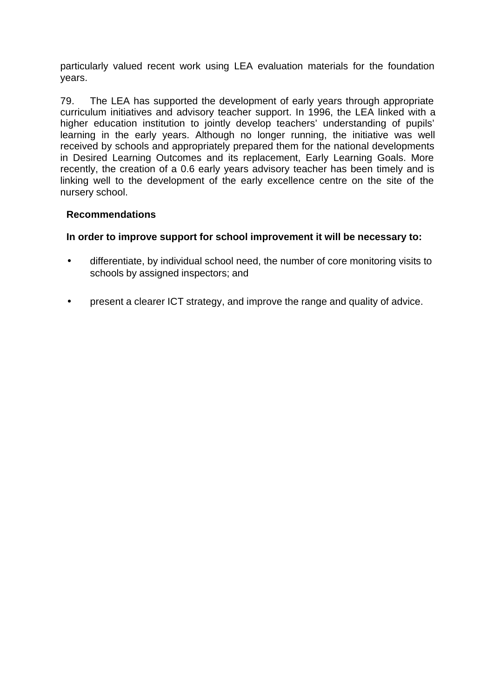particularly valued recent work using LEA evaluation materials for the foundation years.

79. The LEA has supported the development of early years through appropriate curriculum initiatives and advisory teacher support. In 1996, the LEA linked with a higher education institution to jointly develop teachers' understanding of pupils' learning in the early years. Although no longer running, the initiative was well received by schools and appropriately prepared them for the national developments in Desired Learning Outcomes and its replacement, Early Learning Goals. More recently, the creation of a 0.6 early years advisory teacher has been timely and is linking well to the development of the early excellence centre on the site of the nursery school.

#### **Recommendations**

#### **In order to improve support for school improvement it will be necessary to:**

- differentiate, by individual school need, the number of core monitoring visits to schools by assigned inspectors; and
- present a clearer ICT strategy, and improve the range and quality of advice.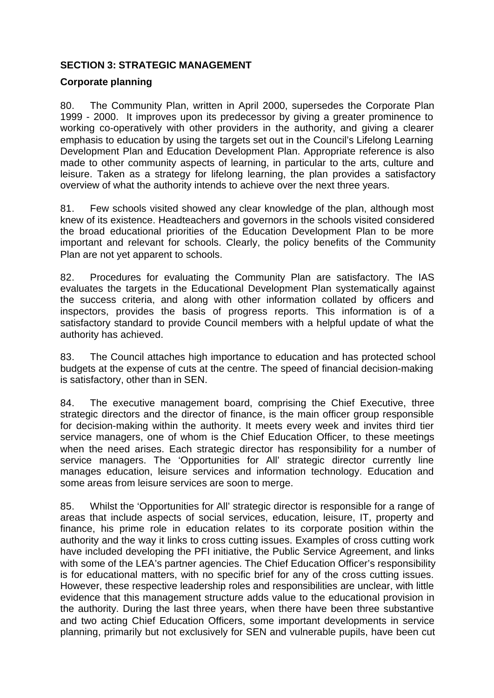#### **SECTION 3: STRATEGIC MANAGEMENT**

#### **Corporate planning**

80. The Community Plan, written in April 2000, supersedes the Corporate Plan 1999 - 2000. It improves upon its predecessor by giving a greater prominence to working co-operatively with other providers in the authority, and giving a clearer emphasis to education by using the targets set out in the Council's Lifelong Learning Development Plan and Education Development Plan. Appropriate reference is also made to other community aspects of learning, in particular to the arts, culture and leisure. Taken as a strategy for lifelong learning, the plan provides a satisfactory overview of what the authority intends to achieve over the next three years.

81. Few schools visited showed any clear knowledge of the plan, although most knew of its existence. Headteachers and governors in the schools visited considered the broad educational priorities of the Education Development Plan to be more important and relevant for schools. Clearly, the policy benefits of the Community Plan are not yet apparent to schools.

82. Procedures for evaluating the Community Plan are satisfactory. The IAS evaluates the targets in the Educational Development Plan systematically against the success criteria, and along with other information collated by officers and inspectors, provides the basis of progress reports. This information is of a satisfactory standard to provide Council members with a helpful update of what the authority has achieved.

83. The Council attaches high importance to education and has protected school budgets at the expense of cuts at the centre. The speed of financial decision-making is satisfactory, other than in SEN.

84. The executive management board, comprising the Chief Executive, three strategic directors and the director of finance, is the main officer group responsible for decision-making within the authority. It meets every week and invites third tier service managers, one of whom is the Chief Education Officer, to these meetings when the need arises. Each strategic director has responsibility for a number of service managers. The 'Opportunities for All' strategic director currently line manages education, leisure services and information technology. Education and some areas from leisure services are soon to merge.

85. Whilst the 'Opportunities for All' strategic director is responsible for a range of areas that include aspects of social services, education, leisure, IT, property and finance, his prime role in education relates to its corporate position within the authority and the way it links to cross cutting issues. Examples of cross cutting work have included developing the PFI initiative, the Public Service Agreement, and links with some of the LEA's partner agencies. The Chief Education Officer's responsibility is for educational matters, with no specific brief for any of the cross cutting issues. However, these respective leadership roles and responsibilities are unclear, with little evidence that this management structure adds value to the educational provision in the authority. During the last three years, when there have been three substantive and two acting Chief Education Officers, some important developments in service planning, primarily but not exclusively for SEN and vulnerable pupils, have been cut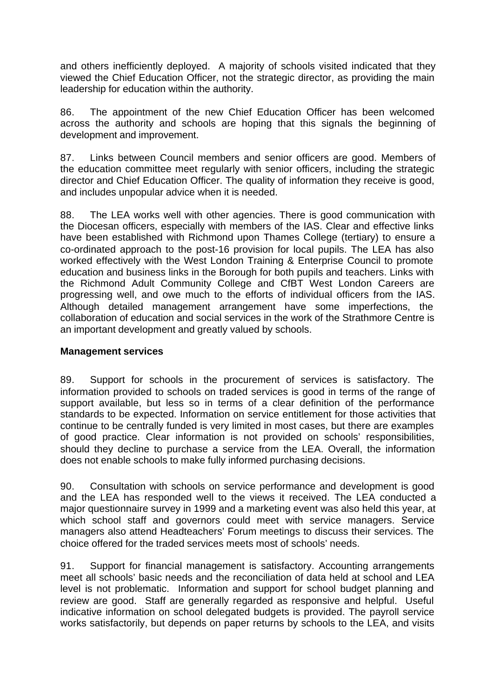and others inefficiently deployed. A majority of schools visited indicated that they viewed the Chief Education Officer, not the strategic director, as providing the main leadership for education within the authority.

86. The appointment of the new Chief Education Officer has been welcomed across the authority and schools are hoping that this signals the beginning of development and improvement.

87. Links between Council members and senior officers are good. Members of the education committee meet regularly with senior officers, including the strategic director and Chief Education Officer. The quality of information they receive is good, and includes unpopular advice when it is needed.

88. The LEA works well with other agencies. There is good communication with the Diocesan officers, especially with members of the IAS. Clear and effective links have been established with Richmond upon Thames College (tertiary) to ensure a co-ordinated approach to the post-16 provision for local pupils. The LEA has also worked effectively with the West London Training & Enterprise Council to promote education and business links in the Borough for both pupils and teachers. Links with the Richmond Adult Community College and CfBT West London Careers are progressing well, and owe much to the efforts of individual officers from the IAS. Although detailed management arrangement have some imperfections, the collaboration of education and social services in the work of the Strathmore Centre is an important development and greatly valued by schools.

#### **Management services**

89. Support for schools in the procurement of services is satisfactory. The information provided to schools on traded services is good in terms of the range of support available, but less so in terms of a clear definition of the performance standards to be expected. Information on service entitlement for those activities that continue to be centrally funded is very limited in most cases, but there are examples of good practice. Clear information is not provided on schools' responsibilities, should they decline to purchase a service from the LEA. Overall, the information does not enable schools to make fully informed purchasing decisions.

90. Consultation with schools on service performance and development is good and the LEA has responded well to the views it received. The LEA conducted a major questionnaire survey in 1999 and a marketing event was also held this year, at which school staff and governors could meet with service managers. Service managers also attend Headteachers' Forum meetings to discuss their services. The choice offered for the traded services meets most of schools' needs.

91. Support for financial management is satisfactory. Accounting arrangements meet all schools' basic needs and the reconciliation of data held at school and LEA level is not problematic. Information and support for school budget planning and review are good. Staff are generally regarded as responsive and helpful. Useful indicative information on school delegated budgets is provided. The payroll service works satisfactorily, but depends on paper returns by schools to the LEA, and visits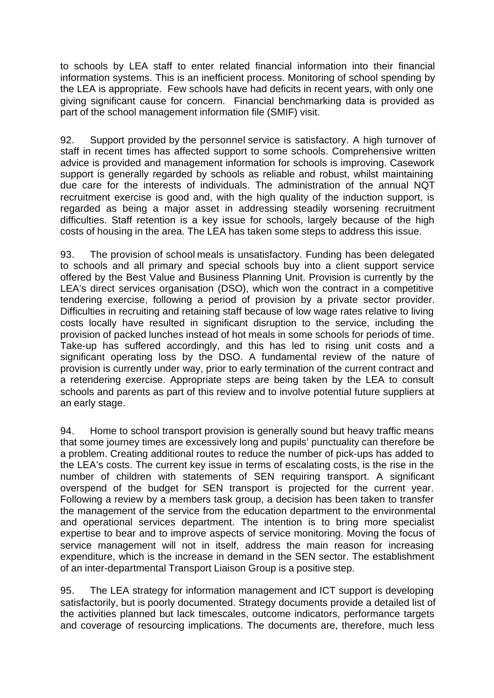to schools by LEA staff to enter related financial information into their financial information systems. This is an inefficient process. Monitoring of school spending by the LEA is appropriate. Few schools have had deficits in recent years, with only one giving significant cause for concern. Financial benchmarking data is provided as part of the school management information file (SMIF) visit.

92. Support provided by the personnel service is satisfactory. A high turnover of staff in recent times has affected support to some schools. Comprehensive written advice is provided and management information for schools is improving. Casework support is generally regarded by schools as reliable and robust, whilst maintaining due care for the interests of individuals. The administration of the annual NQT recruitment exercise is good and, with the high quality of the induction support, is regarded as being a major asset in addressing steadily worsening recruitment difficulties. Staff retention is a key issue for schools, largely because of the high costs of housing in the area. The LEA has taken some steps to address this issue.

93. The provision of school meals is unsatisfactory. Funding has been delegated to schools and all primary and special schools buy into a client support service offered by the Best Value and Business Planning Unit. Provision is currently by the LEA's direct services organisation (DSO), which won the contract in a competitive tendering exercise, following a period of provision by a private sector provider. Difficulties in recruiting and retaining staff because of low wage rates relative to living costs locally have resulted in significant disruption to the service, including the provision of packed lunches instead of hot meals in some schools for periods of time. Take-up has suffered accordingly, and this has led to rising unit costs and a significant operating loss by the DSO. A fundamental review of the nature of provision is currently under way, prior to early termination of the current contract and a retendering exercise. Appropriate steps are being taken by the LEA to consult schools and parents as part of this review and to involve potential future suppliers at an early stage.

94. Home to school transport provision is generally sound but heavy traffic means that some journey times are excessively long and pupils' punctuality can therefore be a problem. Creating additional routes to reduce the number of pick-ups has added to the LEA's costs. The current key issue in terms of escalating costs, is the rise in the number of children with statements of SEN requiring transport. A significant overspend of the budget for SEN transport is projected for the current year. Following a review by a members task group, a decision has been taken to transfer the management of the service from the education department to the environmental and operational services department. The intention is to bring more specialist expertise to bear and to improve aspects of service monitoring. Moving the focus of service management will not in itself, address the main reason for increasing expenditure, which is the increase in demand in the SEN sector. The establishment of an inter-departmental Transport Liaison Group is a positive step.

95. The LEA strategy for information management and ICT support is developing satisfactorily, but is poorly documented. Strategy documents provide a detailed list of the activities planned but lack timescales, outcome indicators, performance targets and coverage of resourcing implications. The documents are, therefore, much less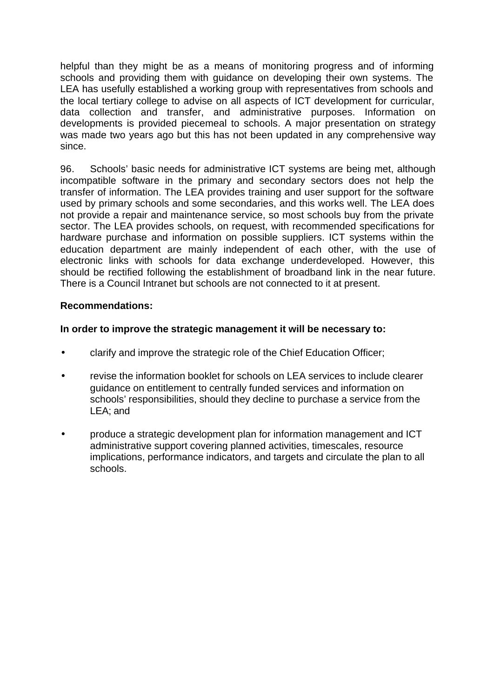helpful than they might be as a means of monitoring progress and of informing schools and providing them with guidance on developing their own systems. The LEA has usefully established a working group with representatives from schools and the local tertiary college to advise on all aspects of ICT development for curricular, data collection and transfer, and administrative purposes. Information on developments is provided piecemeal to schools. A major presentation on strategy was made two years ago but this has not been updated in any comprehensive way since.

96. Schools' basic needs for administrative ICT systems are being met, although incompatible software in the primary and secondary sectors does not help the transfer of information. The LEA provides training and user support for the software used by primary schools and some secondaries, and this works well. The LEA does not provide a repair and maintenance service, so most schools buy from the private sector. The LEA provides schools, on request, with recommended specifications for hardware purchase and information on possible suppliers. ICT systems within the education department are mainly independent of each other, with the use of electronic links with schools for data exchange underdeveloped. However, this should be rectified following the establishment of broadband link in the near future. There is a Council Intranet but schools are not connected to it at present.

#### **Recommendations:**

#### **In order to improve the strategic management it will be necessary to:**

- clarify and improve the strategic role of the Chief Education Officer;
- revise the information booklet for schools on LEA services to include clearer guidance on entitlement to centrally funded services and information on schools' responsibilities, should they decline to purchase a service from the LEA; and
- produce a strategic development plan for information management and ICT administrative support covering planned activities, timescales, resource implications, performance indicators, and targets and circulate the plan to all schools.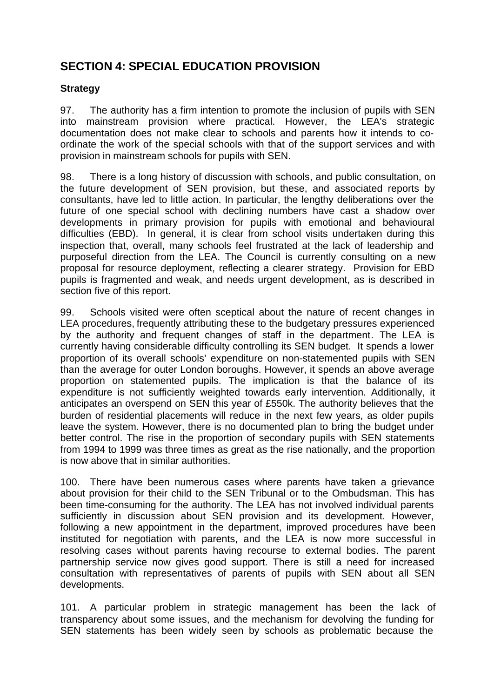# **SECTION 4: SPECIAL EDUCATION PROVISION**

#### **Strategy**

97. The authority has a firm intention to promote the inclusion of pupils with SEN into mainstream provision where practical. However, the LEA's strategic documentation does not make clear to schools and parents how it intends to coordinate the work of the special schools with that of the support services and with provision in mainstream schools for pupils with SEN.

98. There is a long history of discussion with schools, and public consultation, on the future development of SEN provision, but these, and associated reports by consultants, have led to little action. In particular, the lengthy deliberations over the future of one special school with declining numbers have cast a shadow over developments in primary provision for pupils with emotional and behavioural difficulties (EBD). In general, it is clear from school visits undertaken during this inspection that, overall, many schools feel frustrated at the lack of leadership and purposeful direction from the LEA. The Council is currently consulting on a new proposal for resource deployment, reflecting a clearer strategy. Provision for EBD pupils is fragmented and weak, and needs urgent development, as is described in section five of this report.

99. Schools visited were often sceptical about the nature of recent changes in LEA procedures, frequently attributing these to the budgetary pressures experienced by the authority and frequent changes of staff in the department. The LEA is currently having considerable difficulty controlling its SEN budget. It spends a lower proportion of its overall schools' expenditure on non-statemented pupils with SEN than the average for outer London boroughs. However, it spends an above average proportion on statemented pupils. The implication is that the balance of its expenditure is not sufficiently weighted towards early intervention. Additionally, it anticipates an overspend on SEN this year of £550k. The authority believes that the burden of residential placements will reduce in the next few years, as older pupils leave the system. However, there is no documented plan to bring the budget under better control. The rise in the proportion of secondary pupils with SEN statements from 1994 to 1999 was three times as great as the rise nationally, and the proportion is now above that in similar authorities.

100. There have been numerous cases where parents have taken a grievance about provision for their child to the SEN Tribunal or to the Ombudsman. This has been time-consuming for the authority. The LEA has not involved individual parents sufficiently in discussion about SEN provision and its development. However, following a new appointment in the department, improved procedures have been instituted for negotiation with parents, and the LEA is now more successful in resolving cases without parents having recourse to external bodies. The parent partnership service now gives good support. There is still a need for increased consultation with representatives of parents of pupils with SEN about all SEN developments.

101. A particular problem in strategic management has been the lack of transparency about some issues, and the mechanism for devolving the funding for SEN statements has been widely seen by schools as problematic because the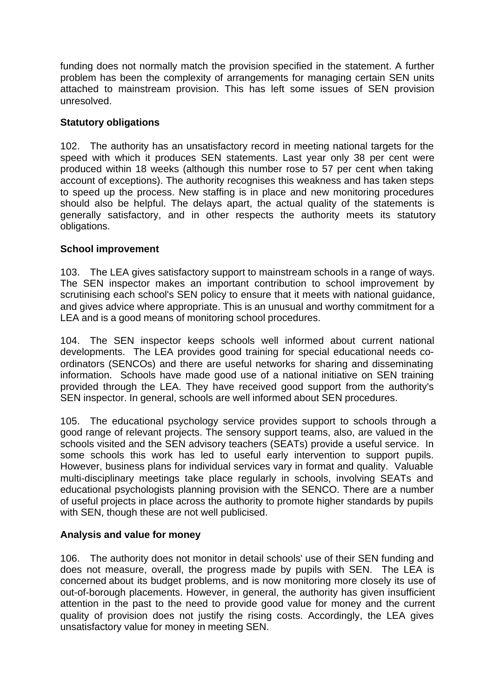funding does not normally match the provision specified in the statement. A further problem has been the complexity of arrangements for managing certain SEN units attached to mainstream provision. This has left some issues of SEN provision unresolved.

#### **Statutory obligations**

102. The authority has an unsatisfactory record in meeting national targets for the speed with which it produces SEN statements. Last year only 38 per cent were produced within 18 weeks (although this number rose to 57 per cent when taking account of exceptions). The authority recognises this weakness and has taken steps to speed up the process. New staffing is in place and new monitoring procedures should also be helpful. The delays apart, the actual quality of the statements is generally satisfactory, and in other respects the authority meets its statutory obligations.

#### **School improvement**

103. The LEA gives satisfactory support to mainstream schools in a range of ways. The SEN inspector makes an important contribution to school improvement by scrutinising each school's SEN policy to ensure that it meets with national guidance, and gives advice where appropriate. This is an unusual and worthy commitment for a LEA and is a good means of monitoring school procedures.

104. The SEN inspector keeps schools well informed about current national developments. The LEA provides good training for special educational needs coordinators (SENCOs) and there are useful networks for sharing and disseminating information. Schools have made good use of a national initiative on SEN training provided through the LEA. They have received good support from the authority's SEN inspector. In general, schools are well informed about SEN procedures.

105. The educational psychology service provides support to schools through a good range of relevant projects. The sensory support teams, also, are valued in the schools visited and the SEN advisory teachers (SEATs) provide a useful service. In some schools this work has led to useful early intervention to support pupils. However, business plans for individual services vary in format and quality. Valuable multi-disciplinary meetings take place regularly in schools, involving SEATs and educational psychologists planning provision with the SENCO. There are a number of useful projects in place across the authority to promote higher standards by pupils with SEN, though these are not well publicised.

#### **Analysis and value for money**

106. The authority does not monitor in detail schools' use of their SEN funding and does not measure, overall, the progress made by pupils with SEN. The LEA is concerned about its budget problems, and is now monitoring more closely its use of out-of-borough placements. However, in general, the authority has given insufficient attention in the past to the need to provide good value for money and the current quality of provision does not justify the rising costs. Accordingly, the LEA gives unsatisfactory value for money in meeting SEN.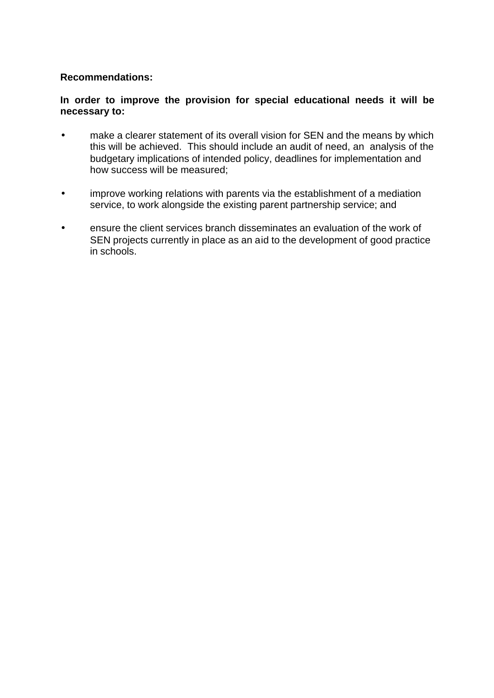#### **Recommendations:**

#### **In order to improve the provision for special educational needs it will be necessary to:**

- make a clearer statement of its overall vision for SEN and the means by which this will be achieved. This should include an audit of need, an analysis of the budgetary implications of intended policy, deadlines for implementation and how success will be measured;
- improve working relations with parents via the establishment of a mediation service, to work alongside the existing parent partnership service; and
- ensure the client services branch disseminates an evaluation of the work of SEN projects currently in place as an aid to the development of good practice in schools.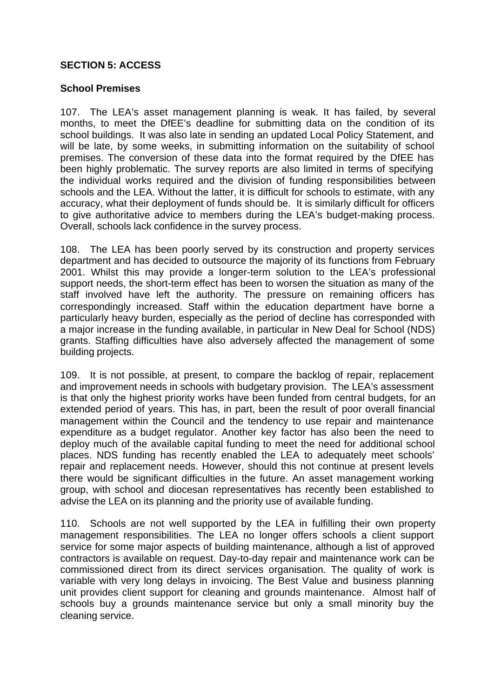#### **SECTION 5: ACCESS**

#### **School Premises**

107. The LEA's asset management planning is weak. It has failed, by several months, to meet the DfEE's deadline for submitting data on the condition of its school buildings. It was also late in sending an updated Local Policy Statement, and will be late, by some weeks, in submitting information on the suitability of school premises. The conversion of these data into the format required by the DfEE has been highly problematic. The survey reports are also limited in terms of specifying the individual works required and the division of funding responsibilities between schools and the LEA. Without the latter, it is difficult for schools to estimate, with any accuracy, what their deployment of funds should be. It is similarly difficult for officers to give authoritative advice to members during the LEA's budget-making process. Overall, schools lack confidence in the survey process.

108. The LEA has been poorly served by its construction and property services department and has decided to outsource the majority of its functions from February 2001. Whilst this may provide a longer-term solution to the LEA's professional support needs, the short-term effect has been to worsen the situation as many of the staff involved have left the authority. The pressure on remaining officers has correspondingly increased. Staff within the education department have borne a particularly heavy burden, especially as the period of decline has corresponded with a major increase in the funding available, in particular in New Deal for School (NDS) grants. Staffing difficulties have also adversely affected the management of some building projects.

109. It is not possible, at present, to compare the backlog of repair, replacement and improvement needs in schools with budgetary provision. The LEA's assessment is that only the highest priority works have been funded from central budgets, for an extended period of years. This has, in part, been the result of poor overall financial management within the Council and the tendency to use repair and maintenance expenditure as a budget regulator. Another key factor has also been the need to deploy much of the available capital funding to meet the need for additional school places. NDS funding has recently enabled the LEA to adequately meet schools' repair and replacement needs. However, should this not continue at present levels there would be significant difficulties in the future. An asset management working group, with school and diocesan representatives has recently been established to advise the LEA on its planning and the priority use of available funding.

110. Schools are not well supported by the LEA in fulfilling their own property management responsibilities. The LEA no longer offers schools a client support service for some major aspects of building maintenance, although a list of approved contractors is available on request. Day-to-day repair and maintenance work can be commissioned direct from its direct services organisation. The quality of work is variable with very long delays in invoicing. The Best Value and business planning unit provides client support for cleaning and grounds maintenance. Almost half of schools buy a grounds maintenance service but only a small minority buy the cleaning service.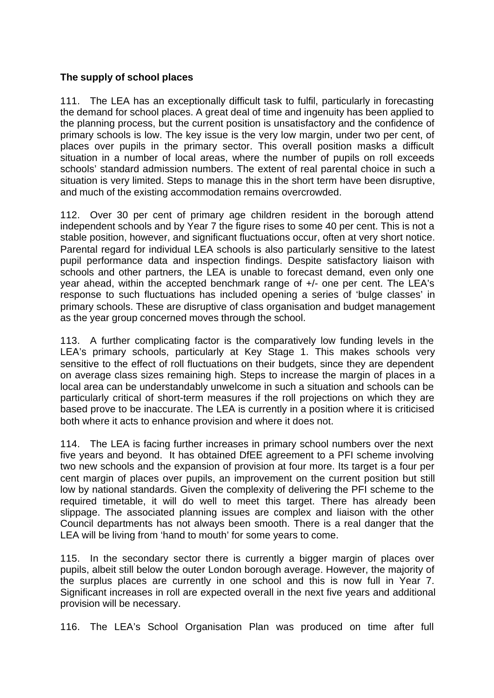#### **The supply of school places**

111. The LEA has an exceptionally difficult task to fulfil, particularly in forecasting the demand for school places. A great deal of time and ingenuity has been applied to the planning process, but the current position is unsatisfactory and the confidence of primary schools is low. The key issue is the very low margin, under two per cent, of places over pupils in the primary sector. This overall position masks a difficult situation in a number of local areas, where the number of pupils on roll exceeds schools' standard admission numbers. The extent of real parental choice in such a situation is very limited. Steps to manage this in the short term have been disruptive, and much of the existing accommodation remains overcrowded.

112. Over 30 per cent of primary age children resident in the borough attend independent schools and by Year 7 the figure rises to some 40 per cent. This is not a stable position, however, and significant fluctuations occur, often at very short notice. Parental regard for individual LEA schools is also particularly sensitive to the latest pupil performance data and inspection findings. Despite satisfactory liaison with schools and other partners, the LEA is unable to forecast demand, even only one year ahead, within the accepted benchmark range of +/- one per cent. The LEA's response to such fluctuations has included opening a series of 'bulge classes' in primary schools. These are disruptive of class organisation and budget management as the year group concerned moves through the school.

113. A further complicating factor is the comparatively low funding levels in the LEA's primary schools, particularly at Key Stage 1. This makes schools very sensitive to the effect of roll fluctuations on their budgets, since they are dependent on average class sizes remaining high. Steps to increase the margin of places in a local area can be understandably unwelcome in such a situation and schools can be particularly critical of short-term measures if the roll projections on which they are based prove to be inaccurate. The LEA is currently in a position where it is criticised both where it acts to enhance provision and where it does not.

114. The LEA is facing further increases in primary school numbers over the next five years and beyond. It has obtained DfEE agreement to a PFI scheme involving two new schools and the expansion of provision at four more. Its target is a four per cent margin of places over pupils, an improvement on the current position but still low by national standards. Given the complexity of delivering the PFI scheme to the required timetable, it will do well to meet this target. There has already been slippage. The associated planning issues are complex and liaison with the other Council departments has not always been smooth. There is a real danger that the LEA will be living from 'hand to mouth' for some years to come.

115. In the secondary sector there is currently a bigger margin of places over pupils, albeit still below the outer London borough average. However, the majority of the surplus places are currently in one school and this is now full in Year 7. Significant increases in roll are expected overall in the next five years and additional provision will be necessary.

116. The LEA's School Organisation Plan was produced on time after full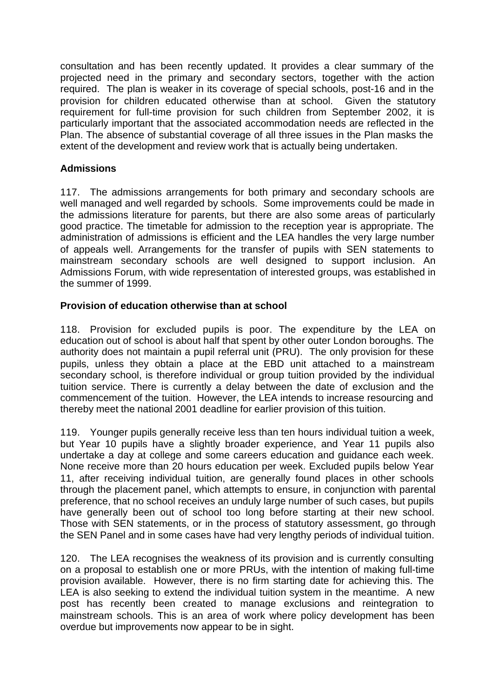consultation and has been recently updated. It provides a clear summary of the projected need in the primary and secondary sectors, together with the action required. The plan is weaker in its coverage of special schools, post-16 and in the provision for children educated otherwise than at school. Given the statutory requirement for full-time provision for such children from September 2002, it is particularly important that the associated accommodation needs are reflected in the Plan. The absence of substantial coverage of all three issues in the Plan masks the extent of the development and review work that is actually being undertaken.

#### **Admissions**

117. The admissions arrangements for both primary and secondary schools are well managed and well regarded by schools. Some improvements could be made in the admissions literature for parents, but there are also some areas of particularly good practice. The timetable for admission to the reception year is appropriate. The administration of admissions is efficient and the LEA handles the very large number of appeals well. Arrangements for the transfer of pupils with SEN statements to mainstream secondary schools are well designed to support inclusion. An Admissions Forum, with wide representation of interested groups, was established in the summer of 1999.

#### **Provision of education otherwise than at school**

118. Provision for excluded pupils is poor. The expenditure by the LEA on education out of school is about half that spent by other outer London boroughs. The authority does not maintain a pupil referral unit (PRU). The only provision for these pupils, unless they obtain a place at the EBD unit attached to a mainstream secondary school, is therefore individual or group tuition provided by the individual tuition service. There is currently a delay between the date of exclusion and the commencement of the tuition. However, the LEA intends to increase resourcing and thereby meet the national 2001 deadline for earlier provision of this tuition.

119. Younger pupils generally receive less than ten hours individual tuition a week, but Year 10 pupils have a slightly broader experience, and Year 11 pupils also undertake a day at college and some careers education and guidance each week. None receive more than 20 hours education per week. Excluded pupils below Year 11, after receiving individual tuition, are generally found places in other schools through the placement panel, which attempts to ensure, in conjunction with parental preference, that no school receives an unduly large number of such cases, but pupils have generally been out of school too long before starting at their new school. Those with SEN statements, or in the process of statutory assessment, go through the SEN Panel and in some cases have had very lengthy periods of individual tuition.

120. The LEA recognises the weakness of its provision and is currently consulting on a proposal to establish one or more PRUs, with the intention of making full-time provision available. However, there is no firm starting date for achieving this. The LEA is also seeking to extend the individual tuition system in the meantime. A new post has recently been created to manage exclusions and reintegration to mainstream schools. This is an area of work where policy development has been overdue but improvements now appear to be in sight.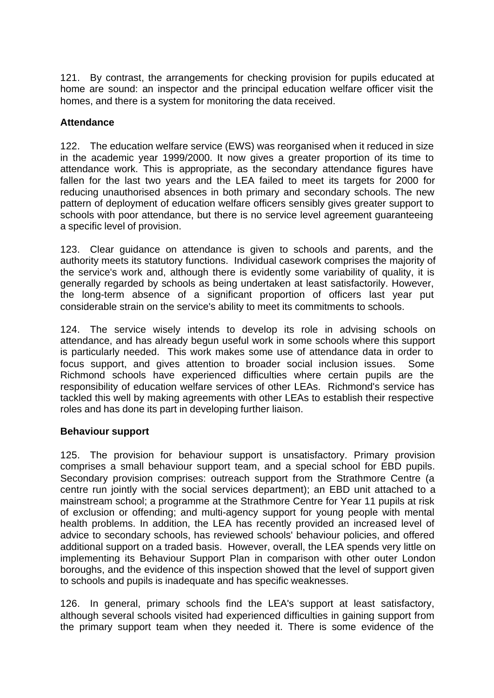121. By contrast, the arrangements for checking provision for pupils educated at home are sound: an inspector and the principal education welfare officer visit the homes, and there is a system for monitoring the data received.

#### **Attendance**

122. The education welfare service (EWS) was reorganised when it reduced in size in the academic year 1999/2000. It now gives a greater proportion of its time to attendance work. This is appropriate, as the secondary attendance figures have fallen for the last two years and the LEA failed to meet its targets for 2000 for reducing unauthorised absences in both primary and secondary schools. The new pattern of deployment of education welfare officers sensibly gives greater support to schools with poor attendance, but there is no service level agreement guaranteeing a specific level of provision.

123. Clear guidance on attendance is given to schools and parents, and the authority meets its statutory functions. Individual casework comprises the majority of the service's work and, although there is evidently some variability of quality, it is generally regarded by schools as being undertaken at least satisfactorily. However, the long-term absence of a significant proportion of officers last year put considerable strain on the service's ability to meet its commitments to schools.

124. The service wisely intends to develop its role in advising schools on attendance, and has already begun useful work in some schools where this support is particularly needed. This work makes some use of attendance data in order to focus support, and gives attention to broader social inclusion issues. Some Richmond schools have experienced difficulties where certain pupils are the responsibility of education welfare services of other LEAs. Richmond's service has tackled this well by making agreements with other LEAs to establish their respective roles and has done its part in developing further liaison.

#### **Behaviour support**

125. The provision for behaviour support is unsatisfactory. Primary provision comprises a small behaviour support team, and a special school for EBD pupils. Secondary provision comprises: outreach support from the Strathmore Centre (a centre run jointly with the social services department); an EBD unit attached to a mainstream school; a programme at the Strathmore Centre for Year 11 pupils at risk of exclusion or offending; and multi-agency support for young people with mental health problems. In addition, the LEA has recently provided an increased level of advice to secondary schools, has reviewed schools' behaviour policies, and offered additional support on a traded basis. However, overall, the LEA spends very little on implementing its Behaviour Support Plan in comparison with other outer London boroughs, and the evidence of this inspection showed that the level of support given to schools and pupils is inadequate and has specific weaknesses.

126. In general, primary schools find the LEA's support at least satisfactory, although several schools visited had experienced difficulties in gaining support from the primary support team when they needed it. There is some evidence of the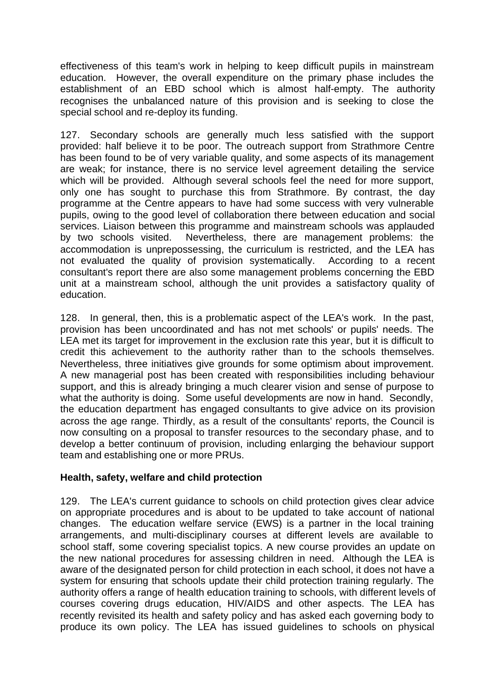effectiveness of this team's work in helping to keep difficult pupils in mainstream education. However, the overall expenditure on the primary phase includes the establishment of an EBD school which is almost half-empty. The authority recognises the unbalanced nature of this provision and is seeking to close the special school and re-deploy its funding.

127. Secondary schools are generally much less satisfied with the support provided: half believe it to be poor. The outreach support from Strathmore Centre has been found to be of very variable quality, and some aspects of its management are weak; for instance, there is no service level agreement detailing the service which will be provided. Although several schools feel the need for more support, only one has sought to purchase this from Strathmore. By contrast, the day programme at the Centre appears to have had some success with very vulnerable pupils, owing to the good level of collaboration there between education and social services. Liaison between this programme and mainstream schools was applauded by two schools visited. Nevertheless, there are management problems: the accommodation is unprepossessing, the curriculum is restricted, and the LEA has not evaluated the quality of provision systematically. According to a recent consultant's report there are also some management problems concerning the EBD unit at a mainstream school, although the unit provides a satisfactory quality of education.

128. In general, then, this is a problematic aspect of the LEA's work. In the past, provision has been uncoordinated and has not met schools' or pupils' needs. The LEA met its target for improvement in the exclusion rate this year, but it is difficult to credit this achievement to the authority rather than to the schools themselves. Nevertheless, three initiatives give grounds for some optimism about improvement. A new managerial post has been created with responsibilities including behaviour support, and this is already bringing a much clearer vision and sense of purpose to what the authority is doing. Some useful developments are now in hand. Secondly, the education department has engaged consultants to give advice on its provision across the age range. Thirdly, as a result of the consultants' reports, the Council is now consulting on a proposal to transfer resources to the secondary phase, and to develop a better continuum of provision, including enlarging the behaviour support team and establishing one or more PRUs.

#### **Health, safety, welfare and child protection**

129. The LEA's current guidance to schools on child protection gives clear advice on appropriate procedures and is about to be updated to take account of national changes. The education welfare service (EWS) is a partner in the local training arrangements, and multi-disciplinary courses at different levels are available to school staff, some covering specialist topics. A new course provides an update on the new national procedures for assessing children in need. Although the LEA is aware of the designated person for child protection in each school, it does not have a system for ensuring that schools update their child protection training regularly. The authority offers a range of health education training to schools, with different levels of courses covering drugs education, HIV/AIDS and other aspects. The LEA has recently revisited its health and safety policy and has asked each governing body to produce its own policy. The LEA has issued guidelines to schools on physical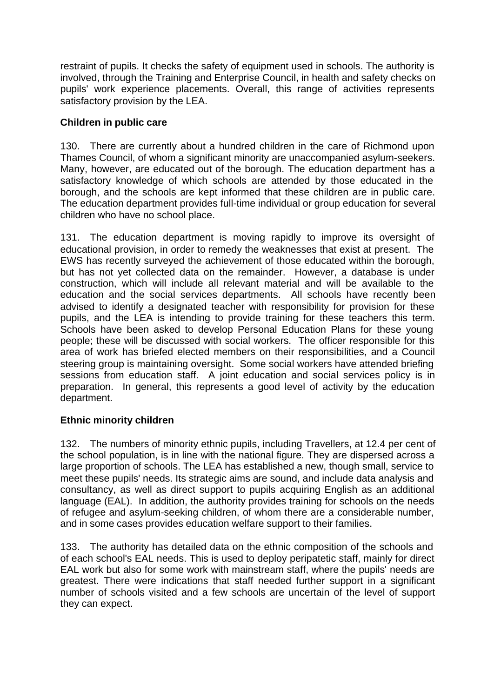restraint of pupils. It checks the safety of equipment used in schools. The authority is involved, through the Training and Enterprise Council, in health and safety checks on pupils' work experience placements. Overall, this range of activities represents satisfactory provision by the LEA.

#### **Children in public care**

130. There are currently about a hundred children in the care of Richmond upon Thames Council, of whom a significant minority are unaccompanied asylum-seekers. Many, however, are educated out of the borough. The education department has a satisfactory knowledge of which schools are attended by those educated in the borough, and the schools are kept informed that these children are in public care. The education department provides full-time individual or group education for several children who have no school place.

131. The education department is moving rapidly to improve its oversight of educational provision, in order to remedy the weaknesses that exist at present. The EWS has recently surveyed the achievement of those educated within the borough, but has not yet collected data on the remainder. However, a database is under construction, which will include all relevant material and will be available to the education and the social services departments. All schools have recently been advised to identify a designated teacher with responsibility for provision for these pupils, and the LEA is intending to provide training for these teachers this term. Schools have been asked to develop Personal Education Plans for these young people; these will be discussed with social workers. The officer responsible for this area of work has briefed elected members on their responsibilities, and a Council steering group is maintaining oversight. Some social workers have attended briefing sessions from education staff. A joint education and social services policy is in preparation. In general, this represents a good level of activity by the education department.

#### **Ethnic minority children**

132. The numbers of minority ethnic pupils, including Travellers, at 12.4 per cent of the school population, is in line with the national figure. They are dispersed across a large proportion of schools. The LEA has established a new, though small, service to meet these pupils' needs. Its strategic aims are sound, and include data analysis and consultancy, as well as direct support to pupils acquiring English as an additional language (EAL). In addition, the authority provides training for schools on the needs of refugee and asylum-seeking children, of whom there are a considerable number, and in some cases provides education welfare support to their families.

133. The authority has detailed data on the ethnic composition of the schools and of each school's EAL needs. This is used to deploy peripatetic staff, mainly for direct EAL work but also for some work with mainstream staff, where the pupils' needs are greatest. There were indications that staff needed further support in a significant number of schools visited and a few schools are uncertain of the level of support they can expect.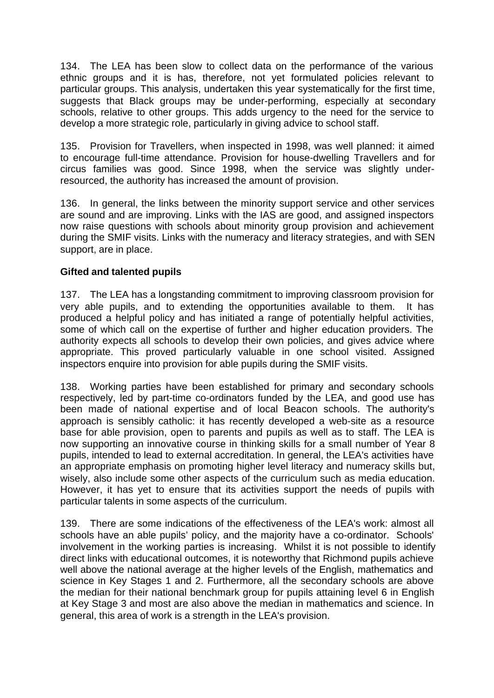134. The LEA has been slow to collect data on the performance of the various ethnic groups and it is has, therefore, not yet formulated policies relevant to particular groups. This analysis, undertaken this year systematically for the first time, suggests that Black groups may be under-performing, especially at secondary schools, relative to other groups. This adds urgency to the need for the service to develop a more strategic role, particularly in giving advice to school staff.

135. Provision for Travellers, when inspected in 1998, was well planned: it aimed to encourage full-time attendance. Provision for house-dwelling Travellers and for circus families was good. Since 1998, when the service was slightly underresourced, the authority has increased the amount of provision.

136. In general, the links between the minority support service and other services are sound and are improving. Links with the IAS are good, and assigned inspectors now raise questions with schools about minority group provision and achievement during the SMIF visits. Links with the numeracy and literacy strategies, and with SEN support, are in place.

#### **Gifted and talented pupils**

137. The LEA has a longstanding commitment to improving classroom provision for very able pupils, and to extending the opportunities available to them. It has produced a helpful policy and has initiated a range of potentially helpful activities, some of which call on the expertise of further and higher education providers. The authority expects all schools to develop their own policies, and gives advice where appropriate. This proved particularly valuable in one school visited. Assigned inspectors enquire into provision for able pupils during the SMIF visits.

138. Working parties have been established for primary and secondary schools respectively, led by part-time co-ordinators funded by the LEA, and good use has been made of national expertise and of local Beacon schools. The authority's approach is sensibly catholic: it has recently developed a web-site as a resource base for able provision, open to parents and pupils as well as to staff. The LEA is now supporting an innovative course in thinking skills for a small number of Year 8 pupils, intended to lead to external accreditation. In general, the LEA's activities have an appropriate emphasis on promoting higher level literacy and numeracy skills but, wisely, also include some other aspects of the curriculum such as media education. However, it has yet to ensure that its activities support the needs of pupils with particular talents in some aspects of the curriculum.

139. There are some indications of the effectiveness of the LEA's work: almost all schools have an able pupils' policy, and the majority have a co-ordinator. Schools' involvement in the working parties is increasing. Whilst it is not possible to identify direct links with educational outcomes, it is noteworthy that Richmond pupils achieve well above the national average at the higher levels of the English, mathematics and science in Key Stages 1 and 2. Furthermore, all the secondary schools are above the median for their national benchmark group for pupils attaining level 6 in English at Key Stage 3 and most are also above the median in mathematics and science. In general, this area of work is a strength in the LEA's provision.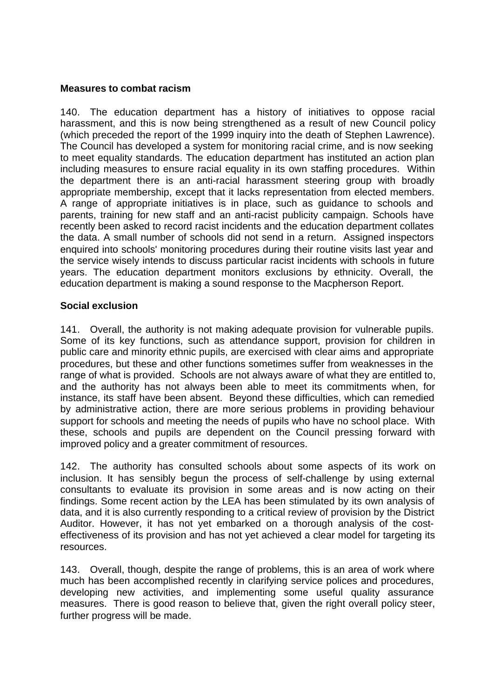#### **Measures to combat racism**

140. The education department has a history of initiatives to oppose racial harassment, and this is now being strengthened as a result of new Council policy (which preceded the report of the 1999 inquiry into the death of Stephen Lawrence). The Council has developed a system for monitoring racial crime, and is now seeking to meet equality standards. The education department has instituted an action plan including measures to ensure racial equality in its own staffing procedures. Within the department there is an anti-racial harassment steering group with broadly appropriate membership, except that it lacks representation from elected members. A range of appropriate initiatives is in place, such as guidance to schools and parents, training for new staff and an anti-racist publicity campaign. Schools have recently been asked to record racist incidents and the education department collates the data. A small number of schools did not send in a return. Assigned inspectors enquired into schools' monitoring procedures during their routine visits last year and the service wisely intends to discuss particular racist incidents with schools in future years. The education department monitors exclusions by ethnicity. Overall, the education department is making a sound response to the Macpherson Report.

#### **Social exclusion**

141. Overall, the authority is not making adequate provision for vulnerable pupils. Some of its key functions, such as attendance support, provision for children in public care and minority ethnic pupils, are exercised with clear aims and appropriate procedures, but these and other functions sometimes suffer from weaknesses in the range of what is provided. Schools are not always aware of what they are entitled to, and the authority has not always been able to meet its commitments when, for instance, its staff have been absent. Beyond these difficulties, which can remedied by administrative action, there are more serious problems in providing behaviour support for schools and meeting the needs of pupils who have no school place. With these, schools and pupils are dependent on the Council pressing forward with improved policy and a greater commitment of resources.

142. The authority has consulted schools about some aspects of its work on inclusion. It has sensibly begun the process of self-challenge by using external consultants to evaluate its provision in some areas and is now acting on their findings. Some recent action by the LEA has been stimulated by its own analysis of data, and it is also currently responding to a critical review of provision by the District Auditor. However, it has not yet embarked on a thorough analysis of the costeffectiveness of its provision and has not yet achieved a clear model for targeting its resources.

143. Overall, though, despite the range of problems, this is an area of work where much has been accomplished recently in clarifying service polices and procedures, developing new activities, and implementing some useful quality assurance measures. There is good reason to believe that, given the right overall policy steer, further progress will be made.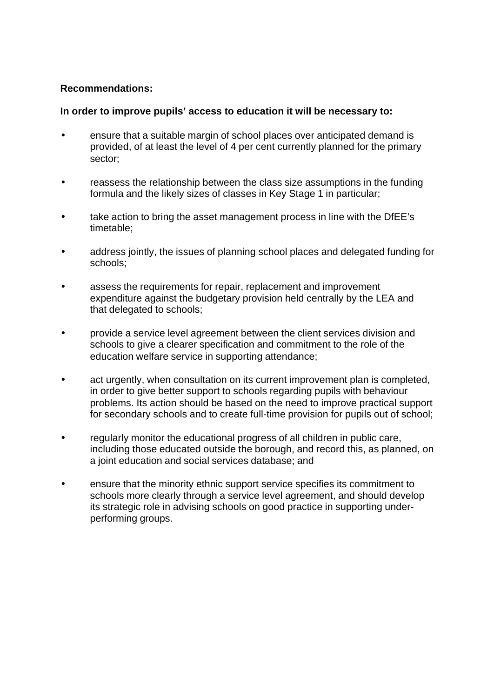#### **Recommendations:**

#### **In order to improve pupils' access to education it will be necessary to:**

- ensure that a suitable margin of school places over anticipated demand is provided, of at least the level of 4 per cent currently planned for the primary sector;
- reassess the relationship between the class size assumptions in the funding formula and the likely sizes of classes in Key Stage 1 in particular;
- take action to bring the asset management process in line with the DfEE's timetable;
- address jointly, the issues of planning school places and delegated funding for schools;
- assess the requirements for repair, replacement and improvement expenditure against the budgetary provision held centrally by the LEA and that delegated to schools;
- provide a service level agreement between the client services division and schools to give a clearer specification and commitment to the role of the education welfare service in supporting attendance;
- act urgently, when consultation on its current improvement plan is completed, in order to give better support to schools regarding pupils with behaviour problems. Its action should be based on the need to improve practical support for secondary schools and to create full-time provision for pupils out of school;
- regularly monitor the educational progress of all children in public care, including those educated outside the borough, and record this, as planned, on a joint education and social services database; and
- ensure that the minority ethnic support service specifies its commitment to schools more clearly through a service level agreement, and should develop its strategic role in advising schools on good practice in supporting underperforming groups.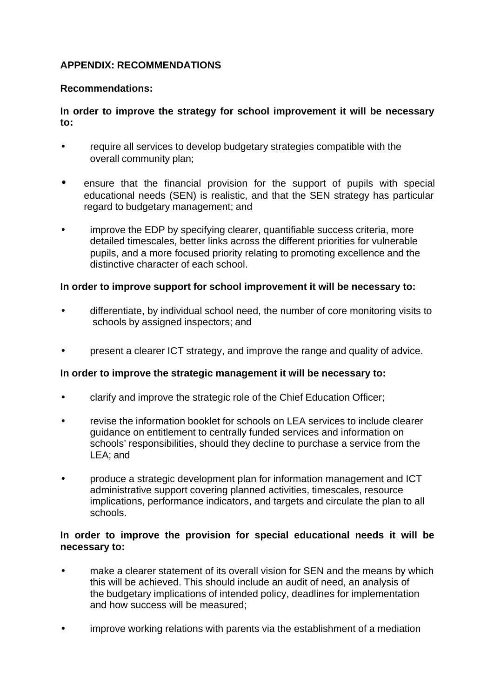#### **APPENDIX: RECOMMENDATIONS**

#### **Recommendations:**

#### **In order to improve the strategy for school improvement it will be necessary to:**

- require all services to develop budgetary strategies compatible with the overall community plan;
- ensure that the financial provision for the support of pupils with special educational needs (SEN) is realistic, and that the SEN strategy has particular regard to budgetary management; and
- improve the EDP by specifying clearer, quantifiable success criteria, more detailed timescales, better links across the different priorities for vulnerable pupils, and a more focused priority relating to promoting excellence and the distinctive character of each school.

#### **In order to improve support for school improvement it will be necessary to:**

- differentiate, by individual school need, the number of core monitoring visits to schools by assigned inspectors; and
- present a clearer ICT strategy, and improve the range and quality of advice.

#### **In order to improve the strategic management it will be necessary to:**

- clarify and improve the strategic role of the Chief Education Officer;
- revise the information booklet for schools on LEA services to include clearer guidance on entitlement to centrally funded services and information on schools' responsibilities, should they decline to purchase a service from the LEA; and
- produce a strategic development plan for information management and ICT administrative support covering planned activities, timescales, resource implications, performance indicators, and targets and circulate the plan to all schools.

#### **In order to improve the provision for special educational needs it will be necessary to:**

- make a clearer statement of its overall vision for SEN and the means by which this will be achieved. This should include an audit of need, an analysis of the budgetary implications of intended policy, deadlines for implementation and how success will be measured;
- improve working relations with parents via the establishment of a mediation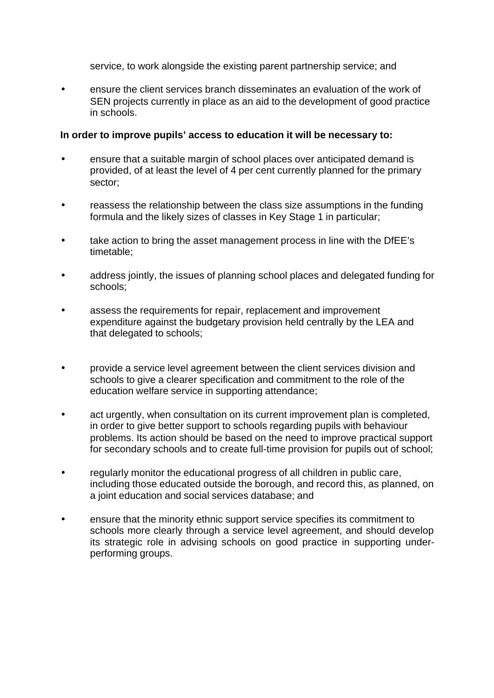service, to work alongside the existing parent partnership service; and

• ensure the client services branch disseminates an evaluation of the work of SEN projects currently in place as an aid to the development of good practice in schools.

#### **In order to improve pupils' access to education it will be necessary to:**

- ensure that a suitable margin of school places over anticipated demand is provided, of at least the level of 4 per cent currently planned for the primary sector;
- reassess the relationship between the class size assumptions in the funding formula and the likely sizes of classes in Key Stage 1 in particular;
- take action to bring the asset management process in line with the DfEE's timetable;
- address jointly, the issues of planning school places and delegated funding for schools;
- assess the requirements for repair, replacement and improvement expenditure against the budgetary provision held centrally by the LEA and that delegated to schools;
- provide a service level agreement between the client services division and schools to give a clearer specification and commitment to the role of the education welfare service in supporting attendance;
- act urgently, when consultation on its current improvement plan is completed, in order to give better support to schools regarding pupils with behaviour problems. Its action should be based on the need to improve practical support for secondary schools and to create full-time provision for pupils out of school;
- regularly monitor the educational progress of all children in public care, including those educated outside the borough, and record this, as planned, on a joint education and social services database; and
- ensure that the minority ethnic support service specifies its commitment to schools more clearly through a service level agreement, and should develop its strategic role in advising schools on good practice in supporting underperforming groups.